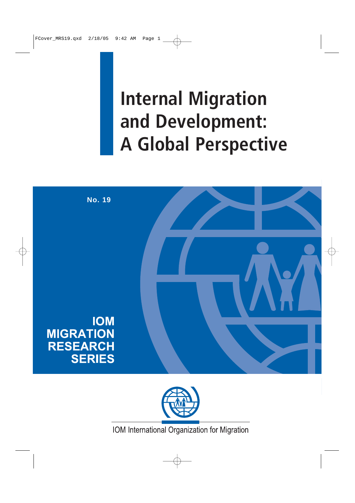# **Internal Migration and Development: A Global Perspective**





IOM International Organization for Migration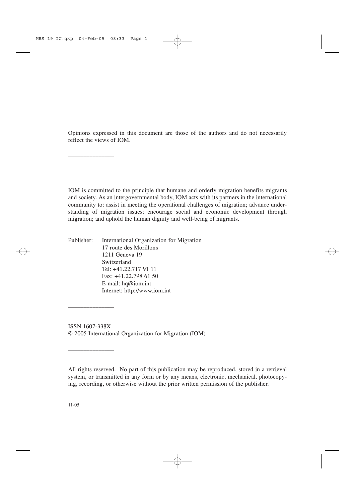Opinions expressed in this document are those of the authors and do not necessarily reflect the views of IOM.

IOM is committed to the principle that humane and orderly migration benefits migrants and society. As an intergovernmental body, IOM acts with its partners in the international community to: assist in meeting the operational challenges of migration; advance understanding of migration issues; encourage social and economic development through migration; and uphold the human dignity and well-being of migrants.

Publisher: International Organization for Migration 17 route des Morillons 1211 Geneva 19 Switzerland Tel: +41.22.717 91 11 Fax: +41.22.798 61 50 E-mail: hq@iom.int Internet: http://www.iom.int

\_\_\_\_\_\_\_\_\_\_\_\_\_\_\_

\_\_\_\_\_\_\_\_\_\_\_\_\_\_\_\_\_\_

\_\_\_\_\_\_\_\_\_\_\_\_\_\_\_\_\_\_

ISSN 1607-338X © 2005 International Organization for Migration (IOM)

All rights reserved. No part of this publication may be reproduced, stored in a retrieval system, or transmitted in any form or by any means, electronic, mechanical, photocopying, recording, or otherwise without the prior written permission of the publisher.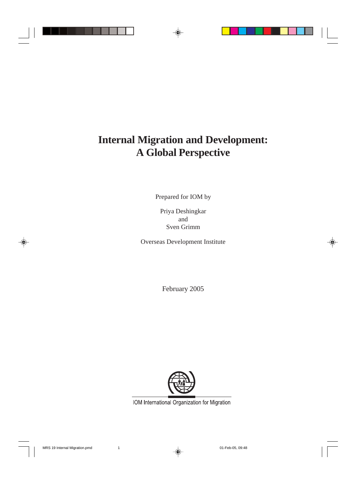## **Internal Migration and Development: A Global Perspective**

Prepared for IOM by

Priya Deshingkar and Sven Grimm

Overseas Development Institute

February 2005



IOM International Organization for Migration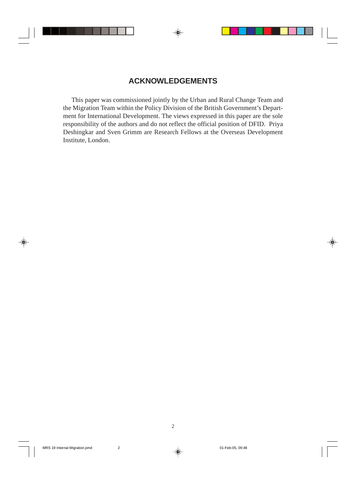## **ACKNOWLEDGEMENTS**

This paper was commissioned jointly by the Urban and Rural Change Team and the Migration Team within the Policy Division of the British Government's Department for International Development. The views expressed in this paper are the sole responsibility of the authors and do not reflect the official position of DFID. Priya Deshingkar and Sven Grimm are Research Fellows at the Overseas Development Institute, London.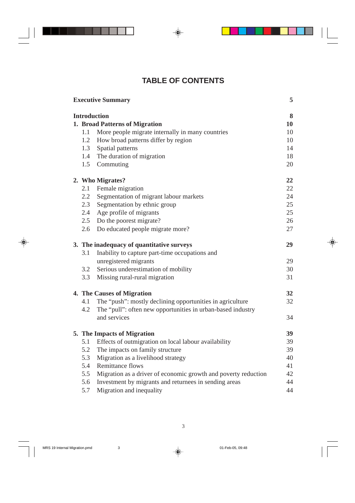## **TABLE OF CONTENTS**

| <b>Executive Summary</b> |                                           |                                                                | 5  |  |
|--------------------------|-------------------------------------------|----------------------------------------------------------------|----|--|
| <b>Introduction</b>      |                                           |                                                                |    |  |
|                          |                                           | 1. Broad Patterns of Migration                                 | 10 |  |
|                          | 1.1                                       | More people migrate internally in many countries               | 10 |  |
|                          | 1.2                                       | How broad patterns differ by region                            | 10 |  |
|                          |                                           | 1.3 Spatial patterns                                           | 14 |  |
|                          | 1.4                                       | The duration of migration                                      | 18 |  |
|                          | 1.5                                       | Commuting                                                      | 20 |  |
|                          |                                           | 2. Who Migrates?                                               | 22 |  |
|                          | 2.1                                       | Female migration                                               | 22 |  |
|                          | $2.2\,$                                   | Segmentation of migrant labour markets                         | 24 |  |
|                          | 2.3                                       | Segmentation by ethnic group                                   | 25 |  |
|                          | 2.4                                       | Age profile of migrants                                        | 25 |  |
|                          | $2.5^{\circ}$                             | Do the poorest migrate?                                        | 26 |  |
|                          | 2.6                                       | Do educated people migrate more?                               | 27 |  |
|                          | 3. The inadequacy of quantitative surveys |                                                                | 29 |  |
|                          | 3.1                                       | Inability to capture part-time occupations and                 |    |  |
|                          |                                           | unregistered migrants                                          | 29 |  |
|                          | 3.2                                       | Serious underestimation of mobility                            | 30 |  |
|                          | 3.3                                       | Missing rural-rural migration                                  | 31 |  |
|                          |                                           | 4. The Causes of Migration                                     | 32 |  |
|                          | 4.1                                       | The "push": mostly declining opportunities in agriculture      | 32 |  |
|                          | 4.2                                       | The "pull": often new opportunities in urban-based industry    |    |  |
|                          |                                           | and services                                                   | 34 |  |
|                          |                                           | 5. The Impacts of Migration                                    | 39 |  |
|                          | 5.1                                       | Effects of outmigration on local labour availability           | 39 |  |
|                          | 5.2                                       | The impacts on family structure                                | 39 |  |
|                          | 5.3                                       | Migration as a livelihood strategy                             | 40 |  |
|                          | 5.4                                       | <b>Remittance flows</b>                                        | 41 |  |
|                          | 5.5                                       | Migration as a driver of economic growth and poverty reduction | 42 |  |
|                          | 5.6                                       | Investment by migrants and returnees in sending areas          | 44 |  |
|                          | 5.7                                       | Migration and inequality                                       | 44 |  |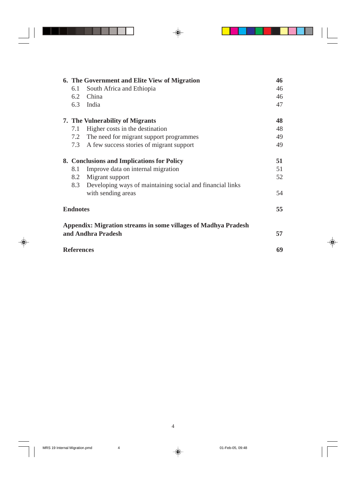|                 | 6. The Government and Elite View of Migration |                                                                       | 46 |
|-----------------|-----------------------------------------------|-----------------------------------------------------------------------|----|
|                 | 6.1                                           | South Africa and Ethiopia                                             | 46 |
|                 | 6.2                                           | China                                                                 | 46 |
|                 | 6.3                                           | India                                                                 | 47 |
|                 |                                               | 7. The Vulnerability of Migrants                                      | 48 |
|                 | 7.1                                           | Higher costs in the destination                                       | 48 |
|                 | 7.2                                           | The need for migrant support programmes                               | 49 |
|                 | 7.3                                           | A few success stories of migrant support                              | 49 |
|                 | 8. Conclusions and Implications for Policy    |                                                                       | 51 |
|                 | 8.1                                           | Improve data on internal migration                                    | 51 |
|                 | 8.2                                           | Migrant support                                                       | 52 |
|                 | 8.3                                           | Developing ways of maintaining social and financial links             |    |
|                 |                                               | with sending areas                                                    | 54 |
| <b>Endnotes</b> |                                               |                                                                       | 55 |
|                 |                                               | <b>Appendix: Migration streams in some villages of Madhya Pradesh</b> |    |
|                 |                                               | and Andhra Pradesh                                                    | 57 |
|                 | <b>References</b>                             |                                                                       | 69 |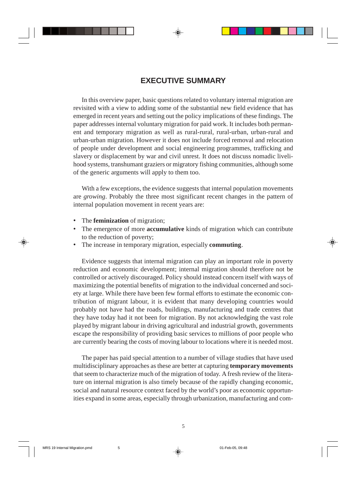## **EXECUTIVE SUMMARY**

In this overview paper, basic questions related to voluntary internal migration are revisited with a view to adding some of the substantial new field evidence that has emerged in recent years and setting out the policy implications of these findings. The paper addresses internal voluntary migration for paid work. It includes both permanent and temporary migration as well as rural-rural, rural-urban, urban-rural and urban-urban migration. However it does not include forced removal and relocation of people under development and social engineering programmes, trafficking and slavery or displacement by war and civil unrest. It does not discuss nomadic livelihood systems, transhumant graziers or migratory fishing communities, although some of the generic arguments will apply to them too.

With a few exceptions, the evidence suggests that internal population movements are *growing*. Probably the three most significant recent changes in the pattern of internal population movement in recent years are:

- The **feminization** of migration;
- The emergence of more **accumulative** kinds of migration which can contribute to the reduction of poverty;
- The increase in temporary migration, especially **commuting**.

Evidence suggests that internal migration can play an important role in poverty reduction and economic development; internal migration should therefore not be controlled or actively discouraged. Policy should instead concern itself with ways of maximizing the potential benefits of migration to the individual concerned and society at large. While there have been few formal efforts to estimate the economic contribution of migrant labour, it is evident that many developing countries would probably not have had the roads, buildings, manufacturing and trade centres that they have today had it not been for migration. By not acknowledging the vast role played by migrant labour in driving agricultural and industrial growth, governments escape the responsibility of providing basic services to millions of poor people who are currently bearing the costs of moving labour to locations where it is needed most.

The paper has paid special attention to a number of village studies that have used multidisciplinary approaches as these are better at capturing **temporary movements** that seem to characterize much of the migration of today. A fresh review of the literature on internal migration is also timely because of the rapidly changing economic, social and natural resource context faced by the world's poor as economic opportunities expand in some areas, especially through urbanization, manufacturing and com-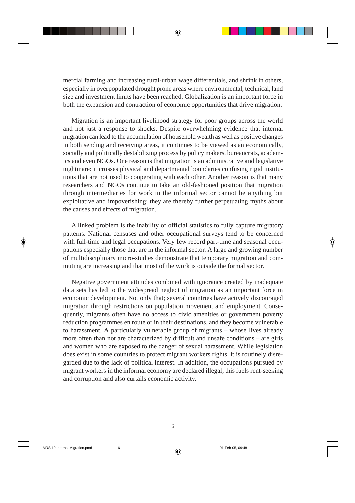mercial farming and increasing rural-urban wage differentials, and shrink in others, especially in overpopulated drought prone areas where environmental, technical, land size and investment limits have been reached. Globalization is an important force in both the expansion and contraction of economic opportunities that drive migration.

Migration is an important livelihood strategy for poor groups across the world and not just a response to shocks. Despite overwhelming evidence that internal migration can lead to the accumulation of household wealth as well as positive changes in both sending and receiving areas, it continues to be viewed as an economically, socially and politically destabilizing process by policy makers, bureaucrats, academics and even NGOs. One reason is that migration is an administrative and legislative nightmare: it crosses physical and departmental boundaries confusing rigid institutions that are not used to cooperating with each other. Another reason is that many researchers and NGOs continue to take an old-fashioned position that migration through intermediaries for work in the informal sector cannot be anything but exploitative and impoverishing; they are thereby further perpetuating myths about the causes and effects of migration.

A linked problem is the inability of official statistics to fully capture migratory patterns. National censuses and other occupational surveys tend to be concerned with full-time and legal occupations. Very few record part-time and seasonal occupations especially those that are in the informal sector. A large and growing number of multidisciplinary micro-studies demonstrate that temporary migration and commuting are increasing and that most of the work is outside the formal sector.

Negative government attitudes combined with ignorance created by inadequate data sets has led to the widespread neglect of migration as an important force in economic development. Not only that; several countries have actively discouraged migration through restrictions on population movement and employment. Consequently, migrants often have no access to civic amenities or government poverty reduction programmes en route or in their destinations, and they become vulnerable to harassment. A particularly vulnerable group of migrants – whose lives already more often than not are characterized by difficult and unsafe conditions – are girls and women who are exposed to the danger of sexual harassment. While legislation does exist in some countries to protect migrant workers rights, it is routinely disregarded due to the lack of political interest. In addition, the occupations pursued by migrant workers in the informal economy are declared illegal; this fuels rent-seeking and corruption and also curtails economic activity.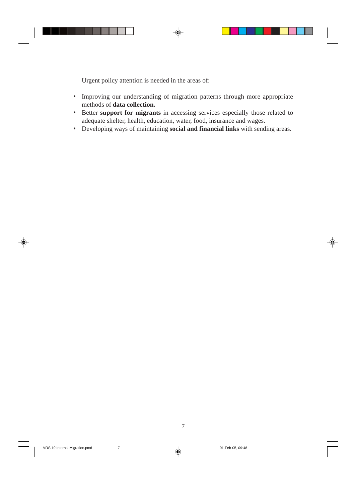Urgent policy attention is needed in the areas of:

- Improving our understanding of migration patterns through more appropriate methods of **data collection***.*
- Better **support for migrants** in accessing services especially those related to adequate shelter, health, education, water, food, insurance and wages.
- Developing ways of maintaining **social and financial links** with sending areas.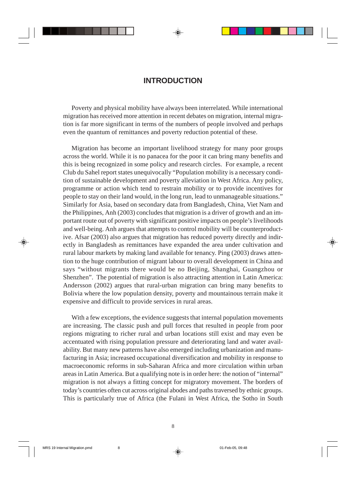## **INTRODUCTION**

Poverty and physical mobility have always been interrelated. While international migration has received more attention in recent debates on migration, internal migration is far more significant in terms of the numbers of people involved and perhaps even the quantum of remittances and poverty reduction potential of these.

Migration has become an important livelihood strategy for many poor groups across the world. While it is no panacea for the poor it can bring many benefits and this is being recognized in some policy and research circles. For example, a recent Club du Sahel report states unequivocally "Population mobility is a necessary condition of sustainable development and poverty alleviation in West Africa. Any policy, programme or action which tend to restrain mobility or to provide incentives for people to stay on their land would, in the long run, lead to unmanageable situations." Similarly for Asia, based on secondary data from Bangladesh, China, Viet Nam and the Philippines, Anh (2003) concludes that migration is a driver of growth and an important route out of poverty with significant positive impacts on people's livelihoods and well-being. Anh argues that attempts to control mobility will be counterproductive. Afsar (2003) also argues that migration has reduced poverty directly and indirectly in Bangladesh as remittances have expanded the area under cultivation and rural labour markets by making land available for tenancy. Ping (2003) draws attention to the huge contribution of migrant labour to overall development in China and says "without migrants there would be no Beijing, Shanghai, Guangzhou or Shenzhen". The potential of migration is also attracting attention in Latin America: Andersson (2002) argues that rural-urban migration can bring many benefits to Bolivia where the low population density, poverty and mountainous terrain make it expensive and difficult to provide services in rural areas.

With a few exceptions, the evidence suggests that internal population movements are increasing. The classic push and pull forces that resulted in people from poor regions migrating to richer rural and urban locations still exist and may even be accentuated with rising population pressure and deteriorating land and water availability. But many new patterns have also emerged including urbanization and manufacturing in Asia; increased occupational diversification and mobility in response to macroeconomic reforms in sub-Saharan Africa and more circulation within urban areas in Latin America. But a qualifying note is in order here: the notion of "internal" migration is not always a fitting concept for migratory movement. The borders of today's countries often cut across original abodes and paths traversed by ethnic groups. This is particularly true of Africa (the Fulani in West Africa, the Sotho in South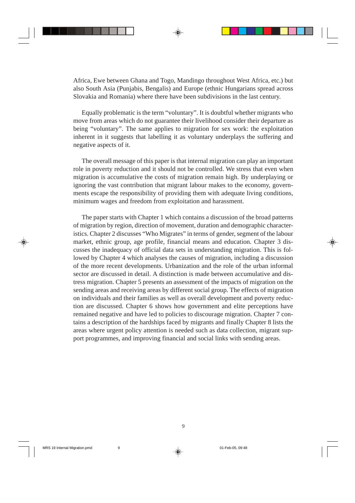Africa, Ewe between Ghana and Togo, Mandingo throughout West Africa, etc.) but also South Asia (Punjabis, Bengalis) and Europe (ethnic Hungarians spread across Slovakia and Romania) where there have been subdivisions in the last century.

Equally problematic is the term "voluntary". It is doubtful whether migrants who move from areas which do not guarantee their livelihood consider their departure as being "voluntary". The same applies to migration for sex work: the exploitation inherent in it suggests that labelling it as voluntary underplays the suffering and negative aspects of it.

The overall message of this paper is that internal migration can play an important role in poverty reduction and it should not be controlled. We stress that even when migration is accumulative the costs of migration remain high. By underplaying or ignoring the vast contribution that migrant labour makes to the economy, governments escape the responsibility of providing them with adequate living conditions, minimum wages and freedom from exploitation and harassment.

The paper starts with Chapter 1 which contains a discussion of the broad patterns of migration by region, direction of movement, duration and demographic characteristics. Chapter 2 discusses "Who Migrates" in terms of gender, segment of the labour market, ethnic group, age profile, financial means and education. Chapter 3 discusses the inadequacy of official data sets in understanding migration. This is followed by Chapter 4 which analyses the causes of migration, including a discussion of the more recent developments. Urbanization and the role of the urban informal sector are discussed in detail. A distinction is made between accumulative and distress migration. Chapter 5 presents an assessment of the impacts of migration on the sending areas and receiving areas by different social group. The effects of migration on individuals and their families as well as overall development and poverty reduction are discussed. Chapter 6 shows how government and elite perceptions have remained negative and have led to policies to discourage migration. Chapter 7 contains a description of the hardships faced by migrants and finally Chapter 8 lists the areas where urgent policy attention is needed such as data collection, migrant support programmes, and improving financial and social links with sending areas.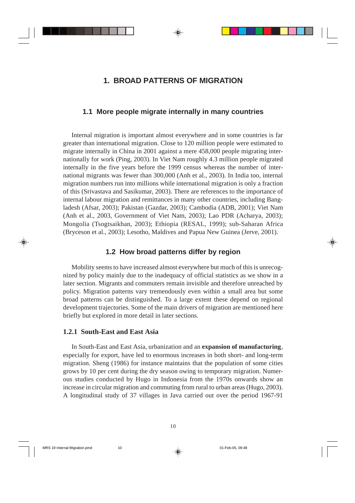## **1. BROAD PATTERNS OF MIGRATION**

#### **1.1 More people migrate internally in many countries**

Internal migration is important almost everywhere and in some countries is far greater than international migration. Close to 120 million people were estimated to migrate internally in China in 2001 against a mere 458,000 people migrating internationally for work (Ping, 2003). In Viet Nam roughly 4.3 million people migrated internally in the five years before the 1999 census whereas the number of international migrants was fewer than 300,000 (Anh et al., 2003). In India too, internal migration numbers run into millions while international migration is only a fraction of this (Srivastava and Sasikumar, 2003). There are references to the importance of internal labour migration and remittances in many other countries, including Bangladesh (Afsar, 2003); Pakistan (Gazdar, 2003); Cambodia (ADB, 2001); Viet Nam (Anh et al., 2003, Government of Viet Nam, 2003); Lao PDR (Acharya, 2003); Mongolia (Tsogtsaikhan, 2003); Ethiopia (RESAL, 1999); sub-Saharan Africa (Bryceson et al., 2003); Lesotho, Maldives and Papua New Guinea (Jerve, 2001).

## **1.2 How broad patterns differ by region**

Mobility seems to have increased almost everywhere but much of this is unrecognized by policy mainly due to the inadequacy of official statistics as we show in a later section. Migrants and commuters remain invisible and therefore unreached by policy. Migration patterns vary tremendously even within a small area but some broad patterns can be distinguished. To a large extent these depend on regional development trajectories. Some of the main drivers of migration are mentioned here briefly but explored in more detail in later sections.

## **1.2.1 South-East and East Asia**

In South-East and East Asia, urbanization and an **expansion of manufacturing**, especially for export, have led to enormous increases in both short- and long-term migration. Sheng (1986) for instance maintains that the population of some cities grows by 10 per cent during the dry season owing to temporary migration. Numerous studies conducted by Hugo in Indonesia from the 1970s onwards show an increase in circular migration and commuting from rural to urban areas (Hugo, 2003). A longitudinal study of 37 villages in Java carried out over the period 1967-91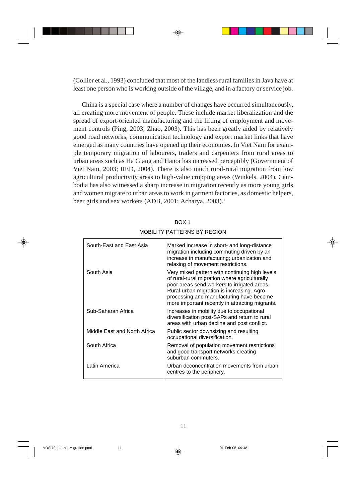(Collier et al., 1993) concluded that most of the landless rural families in Java have at least one person who is working outside of the village, and in a factory or service job.

China is a special case where a number of changes have occurred simultaneously, all creating more movement of people. These include market liberalization and the spread of export-oriented manufacturing and the lifting of employment and movement controls (Ping, 2003; Zhao, 2003). This has been greatly aided by relatively good road networks, communication technology and export market links that have emerged as many countries have opened up their economies. In Viet Nam for example temporary migration of labourers, traders and carpenters from rural areas to urban areas such as Ha Giang and Hanoi has increased perceptibly (Government of Viet Nam, 2003; IIED, 2004). There is also much rural-rural migration from low agricultural productivity areas to high-value cropping areas (Winkels, 2004). Cambodia has also witnessed a sharp increase in migration recently as more young girls and women migrate to urban areas to work in garment factories, as domestic helpers, beer girls and sex workers (ADB, 2001; Acharya, 2003).<sup>1</sup>

|--|

| South-East and East Asia     | Marked increase in short- and long-distance<br>migration including commuting driven by an<br>increase in manufacturing; urbanization and<br>relaxing of movement restrictions.                                                                                                              |
|------------------------------|---------------------------------------------------------------------------------------------------------------------------------------------------------------------------------------------------------------------------------------------------------------------------------------------|
| South Asia                   | Very mixed pattern with continuing high levels<br>of rural-rural migration where agriculturally<br>poor areas send workers to irrigated areas.<br>Rural-urban migration is increasing. Agro-<br>processing and manufacturing have become<br>more important recently in attracting migrants. |
| Sub-Saharan Africa           | Increases in mobility due to occupational<br>diversification post-SAPs and return to rural<br>areas with urban decline and post conflict.                                                                                                                                                   |
| Middle East and North Africa | Public sector downsizing and resulting<br>occupational diversification.                                                                                                                                                                                                                     |
| South Africa                 | Removal of population movement restrictions<br>and good transport networks creating<br>suburban commuters.                                                                                                                                                                                  |
| Latin America                | Urban deconcentration movements from urban<br>centres to the periphery.                                                                                                                                                                                                                     |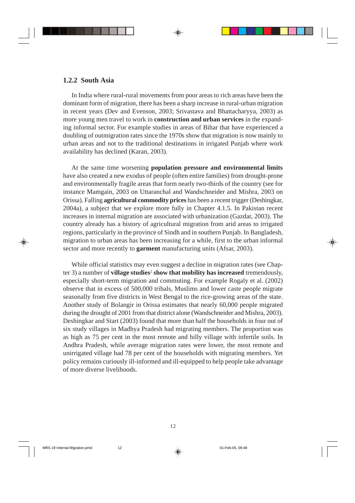#### **1.2.2 South Asia**

In India where rural-rural movements from poor areas to rich areas have been the dominant form of migration, there has been a sharp increase in rural-urban migration in recent years (Dev and Evenson, 2003; Srivastava and Bhattacharyya, 2003) as more young men travel to work in **construction and urban services** in the expanding informal sector. For example studies in areas of Bihar that have experienced a doubling of outmigration rates since the 1970s show that migration is now mainly to urban areas and not to the traditional destinations in irrigated Punjab where work availability has declined (Karan, 2003).

At the same time worsening **population pressure and environmental limits** have also created a new exodus of people (often entire families) from drought-prone and environmentally fragile areas that form nearly two-thirds of the country (see for instance Mamgain, 2003 on Uttaranchal and Wandschneider and Mishra, 2003 on Orissa). Falling **agricultural commodity prices** has been a recent trigger (Deshingkar, 2004a), a subject that we explore more fully in Chapter 4.1.5. In Pakistan recent increases in internal migration are associated with urbanization (Gazdar, 2003). The country already has a history of agricultural migration from arid areas to irrigated regions, particularly in the province of Sindh and in southern Punjab. In Bangladesh, migration to urban areas has been increasing for a while, first to the urban informal sector and more recently to **garment** manufacturing units (Afsar, 2003).

While official statistics may even suggest a decline in migration rates (see Chapter 3) a number of **village studies**<sup>2</sup>  **show that mobility has increased** tremendously, especially short-term migration and commuting. For example Rogaly et al. (2002) observe that in excess of 500,000 tribals, Muslims and lower caste people migrate seasonally from five districts in West Bengal to the rice-growing areas of the state. Another study of Bolangir in Orissa estimates that nearly 60,000 people migrated during the drought of 2001 from that district alone (Wandschneider and Mishra, 2003). Deshingkar and Start (2003) found that more than half the households in four out of six study villages in Madhya Pradesh had migrating members. The proportion was as high as 75 per cent in the most remote and hilly village with infertile soils. In Andhra Pradesh, while average migration rates were lower, the most remote and unirrigated village had 78 per cent of the households with migrating members. Yet policy remains curiously ill-informed and ill-equipped to help people take advantage of more diverse livelihoods.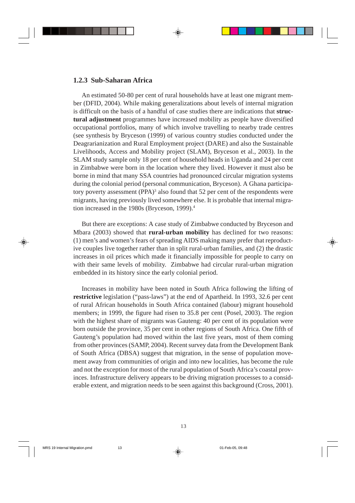## **1.2.3 Sub-Saharan Africa**

An estimated 50-80 per cent of rural households have at least one migrant member (DFID, 2004). While making generalizations about levels of internal migration is difficult on the basis of a handful of case studies there are indications that **structural adjustment** programmes have increased mobility as people have diversified occupational portfolios, many of which involve travelling to nearby trade centres (see synthesis by Bryceson (1999) of various country studies conducted under the Deagrarianization and Rural Employment project (DARE) and also the Sustainable Livelihoods, Access and Mobility project (SLAM), Bryceson et al., 2003). In the SLAM study sample only 18 per cent of household heads in Uganda and 24 per cent in Zimbabwe were born in the location where they lived. However it must also be borne in mind that many SSA countries had pronounced circular migration systems during the colonial period (personal communication, Bryceson). A Ghana participatory poverty assessment (PPA) $^3$  also found that 52 per cent of the respondents were migrants, having previously lived somewhere else. It is probable that internal migration increased in the 1980s (Bryceson, 1999).4

But there are exceptions: A case study of Zimbabwe conducted by Bryceson and Mbara (2003) showed that **rural-urban mobility** has declined for two reasons: (1) men's and women's fears of spreading AIDS making many prefer that reproductive couples live together rather than in split rural-urban families, and (2) the drastic increases in oil prices which made it financially impossible for people to carry on with their same levels of mobility. Zimbabwe had circular rural-urban migration embedded in its history since the early colonial period.

Increases in mobility have been noted in South Africa following the lifting of **restrictive** legislation ("pass-laws") at the end of Apartheid. In 1993, 32.6 per cent of rural African households in South Africa contained (labour) migrant household members; in 1999, the figure had risen to 35.8 per cent (Posel, 2003). The region with the highest share of migrants was Gauteng: 40 per cent of its population were born outside the province, 35 per cent in other regions of South Africa. One fifth of Gauteng's population had moved within the last five years, most of them coming from other provinces (SAMP, 2004). Recent survey data from the Development Bank of South Africa (DBSA) suggest that migration, in the sense of population movement away from communities of origin and into new localities, has become the rule and not the exception for most of the rural population of South Africa's coastal provinces. Infrastructure delivery appears to be driving migration processes to a considerable extent, and migration needs to be seen against this background (Cross, 2001).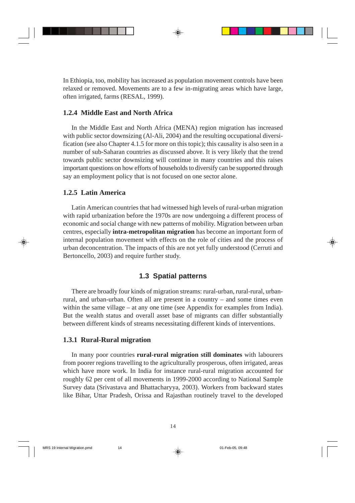In Ethiopia, too, mobility has increased as population movement controls have been relaxed or removed. Movements are to a few in-migrating areas which have large, often irrigated, farms (RESAL, 1999).

## **1.2.4 Middle East and North Africa**

In the Middle East and North Africa (MENA) region migration has increased with public sector downsizing (Al-Ali, 2004) and the resulting occupational diversification (see also Chapter 4.1.5 for more on this topic); this causality is also seen in a number of sub-Saharan countries as discussed above. It is very likely that the trend towards public sector downsizing will continue in many countries and this raises important questions on how efforts of households to diversify can be supported through say an employment policy that is not focused on one sector alone.

## **1.2.5 Latin America**

Latin American countries that had witnessed high levels of rural-urban migration with rapid urbanization before the 1970s are now undergoing a different process of economic and social change with new patterns of mobility. Migration between urban centres, especially **intra-metropolitan migration** has become an important form of internal population movement with effects on the role of cities and the process of urban deconcentration. The impacts of this are not yet fully understood (Cerruti and Bertoncello, 2003) and require further study.

## **1.3 Spatial patterns**

There are broadly four kinds of migration streams: rural-urban, rural-rural, urbanrural, and urban-urban. Often all are present in a country – and some times even within the same village – at any one time (see Appendix for examples from India). But the wealth status and overall asset base of migrants can differ substantially between different kinds of streams necessitating different kinds of interventions.

### **1.3.1 Rural-Rural migration**

In many poor countries **rural-rural migration still dominates** with labourers from poorer regions travelling to the agriculturally prosperous, often irrigated, areas which have more work. In India for instance rural-rural migration accounted for roughly 62 per cent of all movements in 1999-2000 according to National Sample Survey data (Srivastava and Bhattacharyya, 2003). Workers from backward states like Bihar, Uttar Pradesh, Orissa and Rajasthan routinely travel to the developed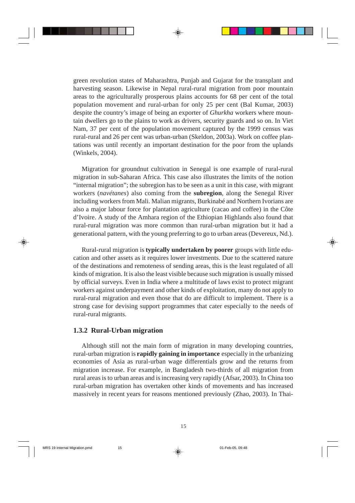green revolution states of Maharashtra, Punjab and Gujarat for the transplant and harvesting season. Likewise in Nepal rural-rural migration from poor mountain areas to the agriculturally prosperous plains accounts for 68 per cent of the total population movement and rural-urban for only 25 per cent (Bal Kumar, 2003) despite the country's image of being an exporter of *Ghurkha* workers where mountain dwellers go to the plains to work as drivers, security guards and so on. In Viet Nam, 37 per cent of the population movement captured by the 1999 census was rural-rural and 26 per cent was urban-urban (Skeldon, 2003a). Work on coffee plantations was until recently an important destination for the poor from the uplands (Winkels, 2004).

Migration for groundnut cultivation in Senegal is one example of rural-rural migration in sub-Saharan Africa. This case also illustrates the limits of the notion "internal migration"; the subregion has to be seen as a unit in this case, with migrant workers (*navétanes*) also coming from the **subregion**, along the Senegal River including workers from Mali. Malian migrants, Burkinabé and Northern Ivorians are also a major labour force for plantation agriculture (cacao and coffee) in the Côte d'Ivoire. A study of the Amhara region of the Ethiopian Highlands also found that rural-rural migration was more common than rural-urban migration but it had a generational pattern, with the young preferring to go to urban areas (Devereux, Nd.).

Rural-rural migration is **typically undertaken by poorer** groups with little education and other assets as it requires lower investments. Due to the scattered nature of the destinations and remoteness of sending areas, this is the least regulated of all kinds of migration. It is also the least visible because such migration is usually missed by official surveys. Even in India where a multitude of laws exist to protect migrant workers against underpayment and other kinds of exploitation, many do not apply to rural-rural migration and even those that do are difficult to implement. There is a strong case for devising support programmes that cater especially to the needs of rural-rural migrants.

### **1.3.2 Rural-Urban migration**

Although still not the main form of migration in many developing countries, rural-urban migration is **rapidly gaining in importance** especially in the urbanizing economies of Asia as rural-urban wage differentials grow and the returns from migration increase. For example, in Bangladesh two-thirds of all migration from rural areas is to urban areas and is increasing very rapidly (Afsar, 2003). In China too rural-urban migration has overtaken other kinds of movements and has increased massively in recent years for reasons mentioned previously (Zhao, 2003). In Thai-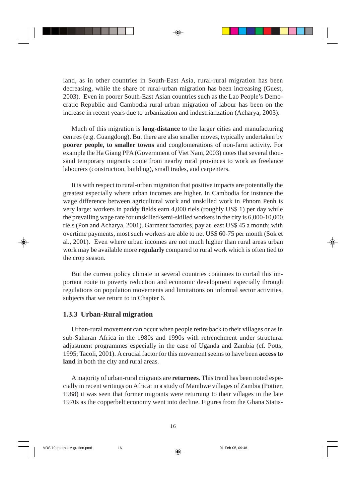land, as in other countries in South-East Asia, rural-rural migration has been decreasing, while the share of rural-urban migration has been increasing (Guest, 2003). Even in poorer South-East Asian countries such as the Lao People's Democratic Republic and Cambodia rural-urban migration of labour has been on the increase in recent years due to urbanization and industrialization (Acharya, 2003).

Much of this migration is **long-distance** to the larger cities and manufacturing centres (e.g. Guangdong). But there are also smaller moves, typically undertaken by **poorer people, to smaller towns** and conglomerations of non-farm activity. For example the Ha Giang PPA (Government of Viet Nam, 2003) notes that several thousand temporary migrants come from nearby rural provinces to work as freelance labourers (construction, building), small trades, and carpenters.

It is with respect to rural-urban migration that positive impacts are potentially the greatest especially where urban incomes are higher. In Cambodia for instance the wage difference between agricultural work and unskilled work in Phnom Penh is very large: workers in paddy fields earn 4,000 riels (roughly US\$ 1) per day while the prevailing wage rate for unskilled/semi-skilled workers in the city is 6,000-10,000 riels (Pon and Acharya, 2001). Garment factories, pay at least US\$ 45 a month; with overtime payments, most such workers are able to net US\$ 60-75 per month (Sok et al.*,* 2001). Even where urban incomes are not much higher than rural areas urban work may be available more **regularly** compared to rural work which is often tied to the crop season.

But the current policy climate in several countries continues to curtail this important route to poverty reduction and economic development especially through regulations on population movements and limitations on informal sector activities, subjects that we return to in Chapter 6.

### **1.3.3 Urban-Rural migration**

Urban-rural movement can occur when people retire back to their villages or as in sub-Saharan Africa in the 1980s and 1990s with retrenchment under structural adjustment programmes especially in the case of Uganda and Zambia (cf. Potts, 1995; Tacoli, 2001). A crucial factor for this movement seems to have been **access to land** in both the city and rural areas.

A majority of urban-rural migrants are **returnees**. This trend has been noted especially in recent writings on Africa: in a study of Mambwe villages of Zambia (Pottier, 1988) it was seen that former migrants were returning to their villages in the late 1970s as the copperbelt economy went into decline. Figures from the Ghana Statis-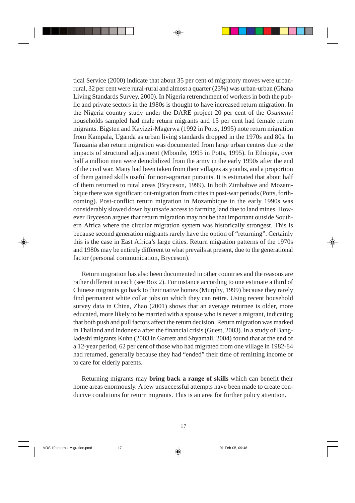tical Service (2000) indicate that about 35 per cent of migratory moves were urbanrural, 32 per cent were rural-rural and almost a quarter (23%) was urban-urban (Ghana Living Standards Survey, 2000). In Nigeria retrenchment of workers in both the public and private sectors in the 1980s is thought to have increased return migration. In the Nigeria country study under the DARE project 20 per cent of the *Osumenyi* households sampled had male return migrants and 15 per cent had female return migrants. Bigsten and Kayizzi-Magerwa (1992 in Potts, 1995) note return migration from Kampala, Uganda as urban living standards dropped in the 1970s and 80s. In Tanzania also return migration was documented from large urban centres due to the impacts of structural adjustment (Mbonile, 1995 in Potts, 1995). In Ethiopia, over half a million men were demobilized from the army in the early 1990s after the end of the civil war. Many had been taken from their villages as youths, and a proportion of them gained skills useful for non-agrarian pursuits. It is estimated that about half of them returned to rural areas (Bryceson, 1999). In both Zimbabwe and Mozambique there was significant out-migration from cities in post-war periods (Potts, forthcoming). Post-conflict return migration in Mozambique in the early 1990s was considerably slowed down by unsafe access to farming land due to land mines. However Bryceson argues that return migration may not be that important outside Southern Africa where the circular migration system was historically strongest. This is because second generation migrants rarely have the option of "returning". Certainly this is the case in East Africa's large cities. Return migration patterns of the 1970s and 1980s may be entirely different to what prevails at present, due to the generational factor (personal communication, Bryceson).

Return migration has also been documented in other countries and the reasons are rather different in each (see Box 2). For instance according to one estimate a third of Chinese migrants go back to their native homes (Murphy, 1999) because they rarely find permanent white collar jobs on which they can retire. Using recent household survey data in China, Zhao (2001) shows that an average returnee is older, more educated, more likely to be married with a spouse who is never a migrant, indicating that both push and pull factors affect the return decision. Return migration was marked in Thailand and Indonesia after the financial crisis (Guest, 2003). In a study of Bangladeshi migrants Kuhn (2003 in Garrett and Shyamali, 2004) found that at the end of a 12-year period, 62 per cent of those who had migrated from one village in 1982-84 had returned, generally because they had "ended" their time of remitting income or to care for elderly parents.

Returning migrants may **bring back a range of skills** which can benefit their home areas enormously. A few unsuccessful attempts have been made to create conducive conditions for return migrants. This is an area for further policy attention.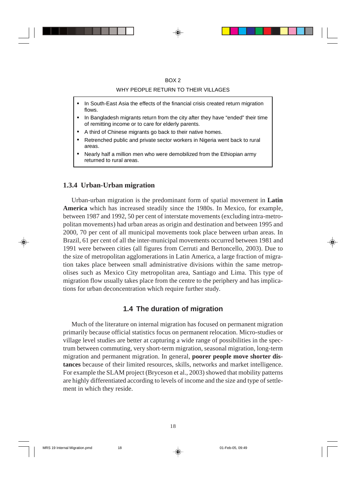#### WHY PEOPLE RETURN TO THEIR VILLAGES

- In South-East Asia the effects of the financial crisis created return migration flows.
- In Bangladesh migrants return from the city after they have "ended" their time of remitting income or to care for elderly parents.
- A third of Chinese migrants go back to their native homes.
- Retrenched public and private sector workers in Nigeria went back to rural areas.
- Nearly half a million men who were demobilized from the Ethiopian army returned to rural areas.

#### **1.3.4 Urban-Urban migration**

Urban-urban migration is the predominant form of spatial movement in **Latin America** which has increased steadily since the 1980s. In Mexico, for example, between 1987 and 1992, 50 per cent of interstate movements (excluding intra-metropolitan movements) had urban areas as origin and destination and between 1995 and 2000, 70 per cent of all municipal movements took place between urban areas. In Brazil, 61 per cent of all the inter-municipal movements occurred between 1981 and 1991 were between cities (all figures from Cerruti and Bertoncello, 2003). Due to the size of metropolitan agglomerations in Latin America, a large fraction of migration takes place between small administrative divisions within the same metropolises such as Mexico City metropolitan area, Santiago and Lima. This type of migration flow usually takes place from the centre to the periphery and has implications for urban deconcentration which require further study.

## **1.4 The duration of migration**

Much of the literature on internal migration has focused on permanent migration primarily because official statistics focus on permanent relocation. Micro-studies or village level studies are better at capturing a wide range of possibilities in the spectrum between commuting, very short-term migration, seasonal migration, long-term migration and permanent migration. In general, **poorer people move shorter distances** because of their limited resources, skills, networks and market intelligence. For example the SLAM project (Bryceson et al., 2003) showed that mobility patterns are highly differentiated according to levels of income and the size and type of settlement in which they reside.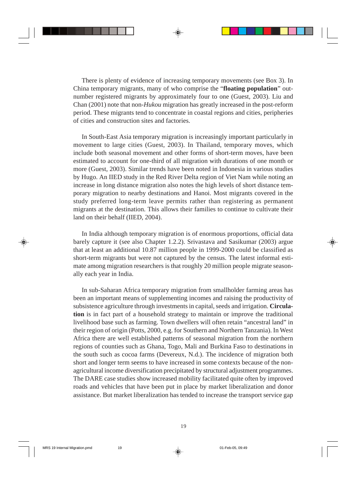There is plenty of evidence of increasing temporary movements (see Box 3). In China temporary migrants, many of who comprise the "**floating population**" outnumber registered migrants by approximately four to one (Guest, 2003). Liu and Chan (2001) note that non-*Hukou* migration has greatly increased in the post-reform period. These migrants tend to concentrate in coastal regions and cities, peripheries of cities and construction sites and factories.

In South-East Asia temporary migration is increasingly important particularly in movement to large cities (Guest, 2003). In Thailand, temporary moves, which include both seasonal movement and other forms of short-term moves, have been estimated to account for one-third of all migration with durations of one month or more (Guest, 2003). Similar trends have been noted in Indonesia in various studies by Hugo. An IIED study in the Red River Delta region of Viet Nam while noting an increase in long distance migration also notes the high levels of short distance temporary migration to nearby destinations and Hanoi. Most migrants covered in the study preferred long-term leave permits rather than registering as permanent migrants at the destination. This allows their families to continue to cultivate their land on their behalf (IIED, 2004).

In India although temporary migration is of enormous proportions, official data barely capture it (see also Chapter 1.2.2). Srivastava and Sasikumar (2003) argue that at least an additional 10.87 million people in 1999-2000 could be classified as short-term migrants but were not captured by the census. The latest informal estimate among migration researchers is that roughly 20 million people migrate seasonally each year in India.

In sub-Saharan Africa temporary migration from smallholder farming areas has been an important means of supplementing incomes and raising the productivity of subsistence agriculture through investments in capital, seeds and irrigation. **Circulation** is in fact part of a household strategy to maintain or improve the traditional livelihood base such as farming. Town dwellers will often retain "ancestral land" in their region of origin (Potts, 2000, e.g. for Southern and Northern Tanzania). In West Africa there are well established patterns of seasonal migration from the northern regions of counties such as Ghana, Togo, Mali and Burkina Faso to destinations in the south such as cocoa farms (Devereux, N.d.). The incidence of migration both short and longer term seems to have increased in some contexts because of the nonagricultural income diversification precipitated by structural adjustment programmes. The DARE case studies show increased mobility facilitated quite often by improved roads and vehicles that have been put in place by market liberalization and donor assistance. But market liberalization has tended to increase the transport service gap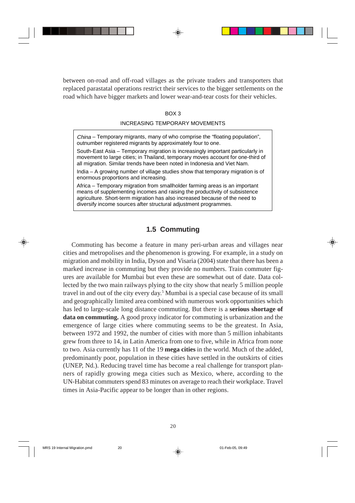between on-road and off-road villages as the private traders and transporters that replaced parastatal operations restrict their services to the bigger settlements on the road which have bigger markets and lower wear-and-tear costs for their vehicles.

#### BOX 3

#### INCREASING TEMPORARY MOVEMENTS

China – Temporary migrants, many of who comprise the "floating population", outnumber registered migrants by approximately four to one.

South-East Asia – Temporary migration is increasingly important particularly in movement to large cities; in Thailand, temporary moves account for one-third of all migration. Similar trends have been noted in Indonesia and Viet Nam.

India – A growing number of village studies show that temporary migration is of enormous proportions and increasing.

Africa – Temporary migration from smallholder farming areas is an important means of supplementing incomes and raising the productivity of subsistence agriculture. Short-term migration has also increased because of the need to diversify income sources after structural adjustment programmes.

## **1.5 Commuting**

Commuting has become a feature in many peri-urban areas and villages near cities and metropolises and the phenomenon is growing. For example, in a study on migration and mobility in India, Dyson and Visaria (2004) state that there has been a marked increase in commuting but they provide no numbers. Train commuter figures are available for Mumbai but even these are somewhat out of date. Data collected by the two main railways plying to the city show that nearly 5 million people travel in and out of the city every day.<sup>5</sup> Mumbai is a special case because of its small and geographically limited area combined with numerous work opportunities which has led to large-scale long distance commuting. But there is a **serious shortage of data on commuting***.* A good proxy indicator for commuting is urbanization and the emergence of large cities where commuting seems to be the greatest. In Asia, between 1972 and 1992, the number of cities with more than 5 million inhabitants grew from three to 14, in Latin America from one to five, while in Africa from none to two. Asia currently has 11 of the 19 **mega cities** in the world. Much of the added, predominantly poor, population in these cities have settled in the outskirts of cities (UNEP, Nd.). Reducing travel time has become a real challenge for transport planners of rapidly growing mega cities such as Mexico, where, according to the UN-Habitat commuters spend 83 minutes on average to reach their workplace. Travel times in Asia-Pacific appear to be longer than in other regions.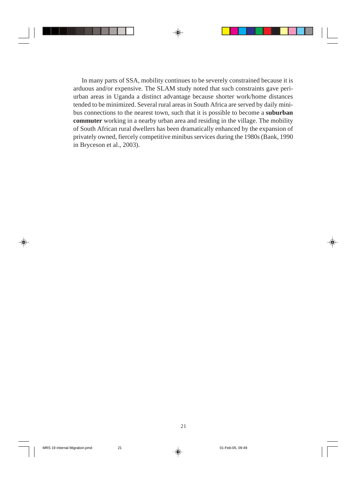In many parts of SSA, mobility continues to be severely constrained because it is arduous and/or expensive. The SLAM study noted that such constraints gave periurban areas in Uganda a distinct advantage because shorter work/home distances tended to be minimized. Several rural areas in South Africa are served by daily minibus connections to the nearest town, such that it is possible to become a **suburban commuter** working in a nearby urban area and residing in the village. The mobility of South African rural dwellers has been dramatically enhanced by the expansion of privately owned, fiercely competitive minibus services during the 1980s (Bank, 1990 in Bryceson et al., 2003).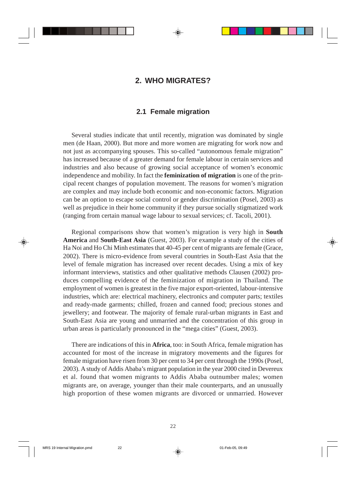## **2. WHO MIGRATES?**

## **2.1 Female migration**

Several studies indicate that until recently, migration was dominated by single men (de Haan, 2000). But more and more women are migrating for work now and not just as accompanying spouses. This so-called "autonomous female migration" has increased because of a greater demand for female labour in certain services and industries and also because of growing social acceptance of women's economic independence and mobility. In fact the **feminization of migration** is one of the principal recent changes of population movement. The reasons for women's migration are complex and may include both economic and non-economic factors. Migration can be an option to escape social control or gender discrimination (Posel, 2003) as well as prejudice in their home community if they pursue socially stigmatized work (ranging from certain manual wage labour to sexual services; cf. Tacoli, 2001).

Regional comparisons show that women's migration is very high in **South America** and **South-East Asia** (Guest, 2003). For example a study of the cities of Ha Noi and Ho Chi Minh estimates that 40-45 per cent of migrants are female (Grace, 2002). There is micro-evidence from several countries in South-East Asia that the level of female migration has increased over recent decades. Using a mix of key informant interviews, statistics and other qualitative methods Clausen (2002) produces compelling evidence of the feminization of migration in Thailand. The employment of women is greatest in the five major export-oriented, labour-intensive industries, which are: electrical machinery, electronics and computer parts; textiles and ready-made garments; chilled, frozen and canned food; precious stones and jewellery; and footwear. The majority of female rural-urban migrants in East and South-East Asia are young and unmarried and the concentration of this group in urban areas is particularly pronounced in the "mega cities" (Guest, 2003).

There are indications of this in **Africa**, too: in South Africa, female migration has accounted for most of the increase in migratory movements and the figures for female migration have risen from 30 per cent to 34 per cent through the 1990s (Posel, 2003). A study of Addis Ababa's migrant population in the year 2000 cited in Devereux et al. found that women migrants to Addis Ababa outnumber males; women migrants are, on average, younger than their male counterparts, and an unusually high proportion of these women migrants are divorced or unmarried. However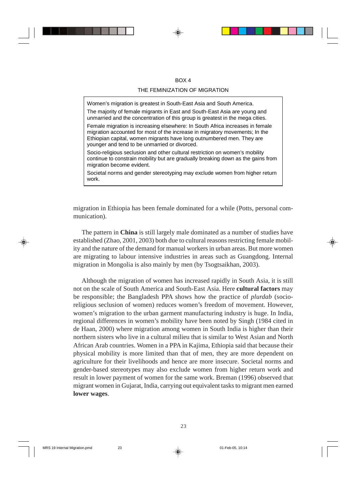#### $ROX 4$

#### THE FEMINIZATION OF MIGRATION

Women's migration is greatest in South-East Asia and South America.

The majority of female migrants in East and South-East Asia are young and unmarried and the concentration of this group is greatest in the mega cities.

Female migration is increasing elsewhere: In South Africa increases in female migration accounted for most of the increase in migratory movements; In the Ethiopian capital, women migrants have long outnumbered men. They are younger and tend to be unmarried or divorced.

Socio-religious seclusion and other cultural restriction on women's mobility continue to constrain mobility but are gradually breaking down as the gains from migration become evident.

Societal norms and gender stereotyping may exclude women from higher return work.

migration in Ethiopia has been female dominated for a while (Potts, personal communication).

The pattern in **China** is still largely male dominated as a number of studies have established (Zhao, 2001, 2003) both due to cultural reasons restricting female mobility and the nature of the demand for manual workers in urban areas. But more women are migrating to labour intensive industries in areas such as Guangdong. Internal migration in Mongolia is also mainly by men (by Tsogtsaikhan, 2003).

Although the migration of women has increased rapidly in South Asia, it is still not on the scale of South America and South-East Asia. Here **cultural factors** may be responsible; the Bangladesh PPA shows how the practice of *plurdab* (socioreligious seclusion of women) reduces women's freedom of movement. However, women's migration to the urban garment manufacturing industry is huge. In India, regional differences in women's mobility have been noted by Singh (1984 cited in de Haan, 2000) where migration among women in South India is higher than their northern sisters who live in a cultural milieu that is similar to West Asian and North African Arab countries. Women in a PPA in Kajima, Ethiopia said that because their physical mobility is more limited than that of men, they are more dependent on agriculture for their livelihoods and hence are more insecure. Societal norms and gender-based stereotypes may also exclude women from higher return work and result in lower payment of women for the same work. Breman (1996) observed that migrant women in Gujarat, India, carrying out equivalent tasks to migrant men earned **lower wages**.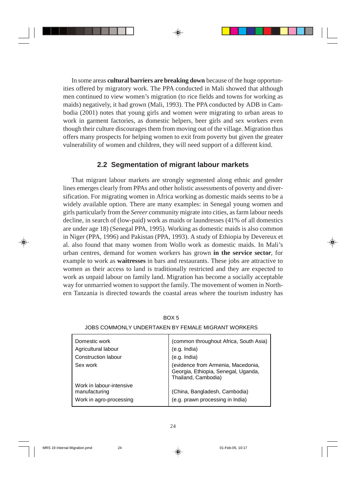In some areas **cultural barriers are breaking down** because of the huge opportunities offered by migratory work. The PPA conducted in Mali showed that although men continued to view women's migration (to rice fields and towns for working as maids) negatively, it had grown (Mali, 1993). The PPA conducted by ADB in Cambodia (2001) notes that young girls and women were migrating to urban areas to work in garment factories, as domestic helpers, beer girls and sex workers even though their culture discourages them from moving out of the village. Migration thus offers many prospects for helping women to exit from poverty but given the greater vulnerability of women and children, they will need support of a different kind.

## **2.2 Segmentation of migrant labour markets**

That migrant labour markets are strongly segmented along ethnic and gender lines emerges clearly from PPAs and other holistic assessments of poverty and diversification. For migrating women in Africa working as domestic maids seems to be a widely available option. There are many examples: in Senegal young women and girls particularly from the *Sereer* community migrate into cities, as farm labour needs decline, in search of (low-paid) work as maids or laundresses (41% of all domestics are under age 18) (Senegal PPA, 1995). Working as domestic maids is also common in Niger (PPA, 1996) and Pakistan (PPA, 1993). A study of Ethiopia by Devereux et al. also found that many women from Wollo work as domestic maids. In Mali's urban centres, demand for women workers has grown **in the service secto***r*, for example to work as **waitresses** in bars and restaurants. These jobs are attractive to women as their access to land is traditionally restricted and they are expected to work as unpaid labour on family land. Migration has become a socially acceptable way for unmarried women to support the family. The movement of women in Northern Tanzania is directed towards the coastal areas where the tourism industry has

| Domestic work                                                        | (common throughout Africa, South Asia)                                                           |
|----------------------------------------------------------------------|--------------------------------------------------------------------------------------------------|
| Agricultural labour                                                  | (e.g. India)                                                                                     |
| Construction labour                                                  | (e.g. India)                                                                                     |
| Sex work                                                             | (evidence from Armenia, Macedonia,<br>Georgia, Ethiopia, Senegal, Uganda,<br>Thailand, Cambodia) |
| Work in labour-intensive<br>manufacturing<br>Work in agro-processing | (China, Bangladesh, Cambodia)<br>(e.g. prawn processing in India)                                |
|                                                                      |                                                                                                  |

#### JOBS COMMONLY UNDERTAKEN BY FEMALE MIGRANT WORKERS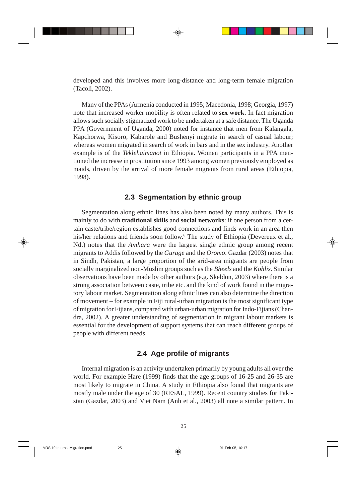developed and this involves more long-distance and long-term female migration (Tacoli, 2002).

Many of the PPAs (Armenia conducted in 1995; Macedonia, 1998; Georgia, 1997) note that increased worker mobility is often related to **sex work**. In fact migration allows such socially stigmatized work to be undertaken at a safe distance. The Uganda PPA (Government of Uganda, 2000) noted for instance that men from Kalangala, Kapchorwa, Kisoro, Kabarole and Bushenyi migrate in search of casual labour; whereas women migrated in search of work in bars and in the sex industry. Another example is of the *Teklehaimanot* in Ethiopia. Women participants in a PPA mentioned the increase in prostitution since 1993 among women previously employed as maids, driven by the arrival of more female migrants from rural areas (Ethiopia, 1998).

## **2.3 Segmentation by ethnic group**

Segmentation along ethnic lines has also been noted by many authors. This is mainly to do with **traditional skills** and **social networks**: if one person from a certain caste/tribe/region establishes good connections and finds work in an area then his/her relations and friends soon follow.<sup>6</sup> The study of Ethiopia (Devereux et al., Nd.) notes that the *Amhara* were the largest single ethnic group among recent migrants to Addis followed by the *Gurage* and the *Oromo*. Gazdar (2003) notes that in Sindh, Pakistan, a large proportion of the arid-area migrants are people from socially marginalized non-Muslim groups such as the *Bheels* and the *Kohlis*. Similar observations have been made by other authors (e.g. Skeldon, 2003) where there is a strong association between caste, tribe etc. and the kind of work found in the migratory labour market. Segmentation along ethnic lines can also determine the direction of movement – for example in Fiji rural-urban migration is the most significant type of migration for Fijians, compared with urban-urban migration for Indo-Fijians (Chandra, 2002). A greater understanding of segmentation in migrant labour markets is essential for the development of support systems that can reach different groups of people with different needs.

## **2.4 Age profile of migrants**

Internal migration is an activity undertaken primarily by young adults all over the world. For example Hare (1999) finds that the age groups of 16-25 and 26-35 are most likely to migrate in China. A study in Ethiopia also found that migrants are mostly male under the age of 30 (RESAL, 1999). Recent country studies for Pakistan (Gazdar, 2003) and Viet Nam (Anh et al., 2003) all note a similar pattern. In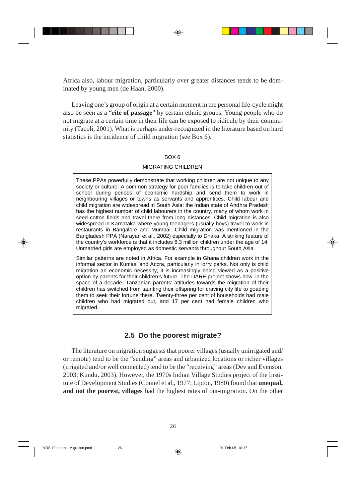Africa also, labour migration, particularly over greater distances tends to be dominated by young men (de Haan, 2000).

Leaving one's group of origin at a certain moment in the personal life-cycle might also be seen as a "**rite of passage**" by certain ethnic groups. Young people who do not migrate at a certain time in their life can be exposed to ridicule by their community (Tacoli, 2001). What is perhaps under-recognized in the literature based on hard statistics is the incidence of child migration (see Box 6).

#### BOX 6

#### MIGRATING CHILDREN

These PPAs powerfully demonstrate that working children are not unique to any society or culture: A common strategy for poor families is to take children out of school during periods of economic hardship and send them to work in neighbouring villages or towns as servants and apprentices. Child labour and child migration are widespread in South Asia: the Indian state of Andhra Pradesh has the highest number of child labourers in the country, many of whom work in seed cotton fields and travel there from long distances. Child migration is also widespread in Karnataka where young teenagers (usually boys) travel to work in restaurants in Bangalore and Mumbai. Child migration was mentioned in the Bangladesh PPA (Narayan et al., 2002) especially to Dhaka. A striking feature of the country's workforce is that it includes 6.3 million children under the age of 14. Unmarried girls are employed as domestic servants throughout South Asia.

Similar patterns are noted in Africa. For example in Ghana children work in the informal sector in Kumasi and Accra, particularly in lorry parks. Not only is child migration an economic necessity, it is increasingly being viewed as a positive option by parents for their children's future. The DARE project shows how, in the space of a decade, Tanzanian parents' attitudes towards the migration of their children has switched from taunting their offspring for craving city life to goading them to seek their fortune there. Twenty-three per cent of households had male children who had migrated out, and 17 per cent had female children who migrated.

## **2.5 Do the poorest migrate?**

The literature on migration suggests that poorer villages (usually unirrigated and/ or remote) tend to be the "sending" areas and urbanized locations or richer villages (irrigated and/or well connected) tend to be the "receiving" areas (Dev and Evenson, 2003; Kundu, 2003). However, the 1970s Indian Village Studies project of the Institute of Development Studies (Connel et al., 1977; Lipton, 1980) found that **unequal, and not the poorest, villages** had the highest rates of out-migration. On the other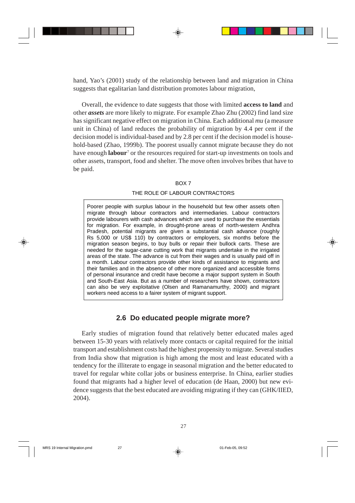hand, Yao's (2001) study of the relationship between land and migration in China suggests that egalitarian land distribution promotes labour migration,

Overall, the evidence to date suggests that those with limited **access to land** and other *assets* are more likely to migrate. For example Zhao Zhu (2002) find land size has significant negative effect on migration in China. Each additional *mu* (a measure unit in China) of land reduces the probability of migration by 4.4 per cent if the decision model is individual-based and by 2.8 per cent if the decision model is household-based (Zhao, 1999b). The poorest usually cannot migrate because they do not have enough **labour**<sup>7</sup> or the resources required for start-up investments on tools and other assets, transport, food and shelter. The move often involves bribes that have to be paid.

#### BOX 7

### THE ROLE OF LABOUR CONTRACTORS

Poorer people with surplus labour in the household but few other assets often migrate through labour contractors and intermediaries. Labour contractors provide labourers with cash advances which are used to purchase the essentials for migration. For example, in drought-prone areas of north-western Andhra Pradesh, potential migrants are given a substantial cash advance (roughly Rs 5,000 or US\$ 110) by contractors or employers, six months before the migration season begins, to buy bulls or repair their bullock carts. These are needed for the sugar-cane cutting work that migrants undertake in the irrigated areas of the state. The advance is cut from their wages and is usually paid off in a month. Labour contractors provide other kinds of assistance to migrants and their families and in the absence of other more organized and accessible forms of personal insurance and credit have become a major support system in South and South-East Asia. But as a number of researchers have shown, contractors can also be very exploitative (Olsen and Ramanamurthy, 2000) and migrant workers need access to a fairer system of migrant support.

## **2.6 Do educated people migrate more?**

Early studies of migration found that relatively better educated males aged between 15-30 years with relatively more contacts or capital required for the initial transport and establishment costs had the highest propensity to migrate. Several studies from India show that migration is high among the most and least educated with a tendency for the illiterate to engage in seasonal migration and the better educated to travel for regular white collar jobs or business enterprise. In China, earlier studies found that migrants had a higher level of education (de Haan, 2000) but new evidence suggests that the best educated are avoiding migrating if they can (GHK/IIED, 2004).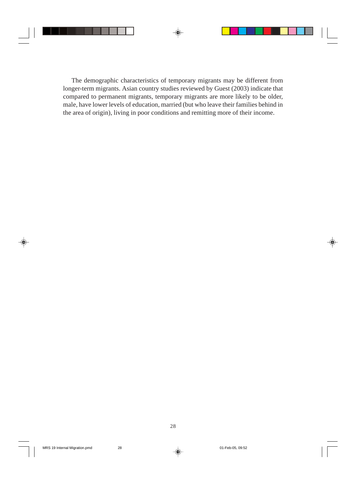The demographic characteristics of temporary migrants may be different from longer-term migrants. Asian country studies reviewed by Guest (2003) indicate that compared to permanent migrants, temporary migrants are more likely to be older, male, have lower levels of education, married (but who leave their families behind in the area of origin), living in poor conditions and remitting more of their income.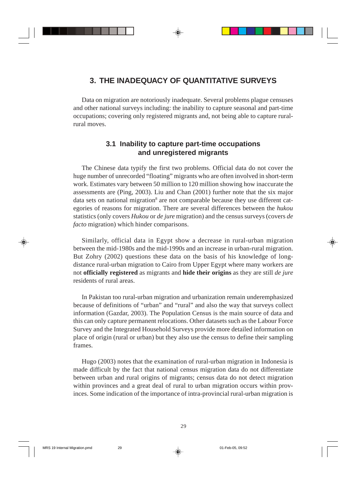## **3. THE INADEQUACY OF QUANTITATIVE SURVEYS**

Data on migration are notoriously inadequate. Several problems plague censuses and other national surveys including: the inability to capture seasonal and part-time occupations; covering only registered migrants and, not being able to capture ruralrural moves.

## **3.1 Inability to capture part-time occupations and unregistered migrants**

The Chinese data typify the first two problems. Official data do not cover the huge number of unrecorded "floating" migrants who are often involved in short-term work. Estimates vary between 50 million to 120 million showing how inaccurate the assessments are (Ping, 2003). Liu and Chan (2001) further note that the six major data sets on national migration<sup>8</sup> are not comparable because they use different categories of reasons for migration. There are several differences between the *hukou* statistics (only covers *Hukou* or *de jure* migration) and the census surveys (covers *de facto* migration) which hinder comparisons.

Similarly, official data in Egypt show a decrease in rural-urban migration between the mid-1980s and the mid-1990s and an increase in urban-rural migration. But Zohry (2002) questions these data on the basis of his knowledge of longdistance rural-urban migration to Cairo from Upper Egypt where many workers are not **officially registered** as migrants and **hide their origins** as they are still *de jure* residents of rural areas.

In Pakistan too rural-urban migration and urbanization remain underemphasized because of definitions of "urban" and "rural" and also the way that surveys collect information (Gazdar, 2003). The Population Census is the main source of data and this can only capture permanent relocations. Other datasets such as the Labour Force Survey and the Integrated Household Surveys provide more detailed information on place of origin (rural or urban) but they also use the census to define their sampling frames.

Hugo (2003) notes that the examination of rural-urban migration in Indonesia is made difficult by the fact that national census migration data do not differentiate between urban and rural origins of migrants; census data do not detect migration within provinces and a great deal of rural to urban migration occurs within provinces. Some indication of the importance of intra-provincial rural-urban migration is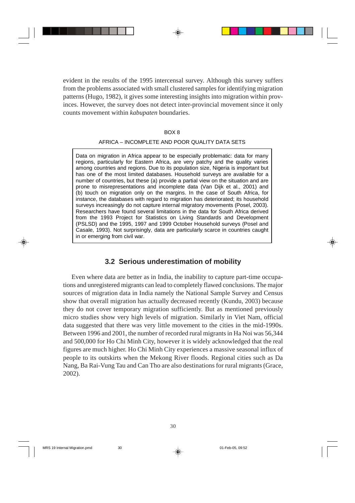evident in the results of the 1995 intercensal survey. Although this survey suffers from the problems associated with small clustered samples for identifying migration patterns (Hugo, 1982), it gives some interesting insights into migration within provinces. However, the survey does not detect inter-provincial movement since it only counts movement within *kabupaten* boundaries.

#### BOX 8

#### AFRICA – INCOMPLETE AND POOR QUALITY DATA SETS

Data on migration in Africa appear to be especially problematic: data for many regions, particularly for Eastern Africa, are very patchy and the quality varies among countries and regions. Due to its population size, Nigeria is important but has one of the most limited databases. Household surveys are available for a number of countries, but these (a) provide a partial view on the situation and are prone to misrepresentations and incomplete data (Van Dijk et al., 2001) and (b) touch on migration only on the margins. In the case of South Africa, for instance, the databases with regard to migration has deteriorated; its household surveys increasingly do not capture internal migratory movements (Posel, 2003). Researchers have found several limitations in the data for South Africa derived from the 1993 Project for Statistics on Living Standards and Development (PSLSD) and the 1995, 1997 and 1999 October Household surveys (Posel and Casale, 1993). Not surprisingly, data are particularly scarce in countries caught in or emerging from civil war.

## **3.2 Serious underestimation of mobility**

Even where data are better as in India, the inability to capture part-time occupations and unregistered migrants can lead to completely flawed conclusions. The major sources of migration data in India namely the National Sample Survey and Census show that overall migration has actually decreased recently (Kundu, 2003) because they do not cover temporary migration sufficiently. But as mentioned previously micro studies show very high levels of migration. Similarly in Viet Nam, official data suggested that there was very little movement to the cities in the mid-1990s. Between 1996 and 2001, the number of recorded rural migrants in Ha Noi was 56,344 and 500,000 for Ho Chi Minh City, however it is widely acknowledged that the real figures are much higher. Ho Chi Minh City experiences a massive seasonal influx of people to its outskirts when the Mekong River floods. Regional cities such as Da Nang, Ba Rai-Vung Tau and Can Tho are also destinations for rural migrants (Grace, 2002).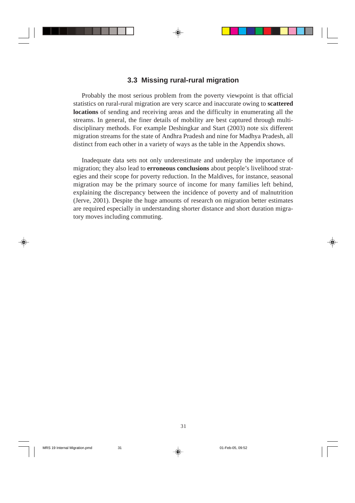## **3.3 Missing rural-rural migration**

Probably the most serious problem from the poverty viewpoint is that official statistics on rural-rural migration are very scarce and inaccurate owing to **scattered locations** of sending and receiving areas and the difficulty in enumerating all the streams. In general, the finer details of mobility are best captured through multidisciplinary methods. For example Deshingkar and Start (2003) note six different migration streams for the state of Andhra Pradesh and nine for Madhya Pradesh, all distinct from each other in a variety of ways as the table in the Appendix shows.

Inadequate data sets not only underestimate and underplay the importance of migration; they also lead to **erroneous conclusions** about people's livelihood strategies and their scope for poverty reduction. In the Maldives, for instance, seasonal migration may be the primary source of income for many families left behind, explaining the discrepancy between the incidence of poverty and of malnutrition (Jerve, 2001). Despite the huge amounts of research on migration better estimates are required especially in understanding shorter distance and short duration migratory moves including commuting.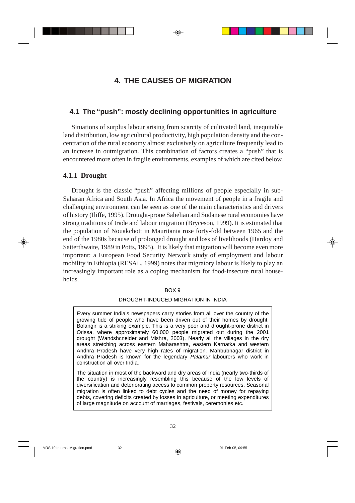## **4. THE CAUSES OF MIGRATION**

## **4.1 The "push": mostly declining opportunities in agriculture**

Situations of surplus labour arising from scarcity of cultivated land, inequitable land distribution, low agricultural productivity, high population density and the concentration of the rural economy almost exclusively on agriculture frequently lead to an increase in outmigration. This combination of factors creates a "push" that is encountered more often in fragile environments, examples of which are cited below.

## **4.1.1 Drought**

Drought is the classic "push" affecting millions of people especially in sub-Saharan Africa and South Asia. In Africa the movement of people in a fragile and challenging environment can be seen as one of the main characteristics and drivers of history (Iliffe, 1995). Drought-prone Sahelian and Sudanese rural economies have strong traditions of trade and labour migration (Bryceson, 1999). It is estimated that the population of Nouakchott in Mauritania rose forty-fold between 1965 and the end of the 1980s because of prolonged drought and loss of livelihoods (Hardoy and Satterthwaite, 1989 in Potts, 1995). It is likely that migration will become even more important: a European Food Security Network study of employment and labour mobility in Ethiopia (RESAL, 1999) notes that migratory labour is likely to play an increasingly important role as a coping mechanism for food-insecure rural households.

#### BOX 9

#### DROUGHT-INDUCED MIGRATION IN INDIA

Every summer India's newspapers carry stories from all over the country of the growing tide of people who have been driven out of their homes by drought. Bolangir is a striking example. This is a very poor and drought-prone district in Orissa, where approximately 60,000 people migrated out during the 2001 drought (Wandshcneider and Mishra, 2003). Nearly all the villages in the dry areas stretching across eastern Maharashtra, eastern Karnatka and western Andhra Pradesh have very high rates of migration. Mahbubnagar district in Andhra Pradesh is known for the legendary Palamur labourers who work in construction all over India.

The situation in most of the backward and dry areas of India (nearly two-thirds of the country) is increasingly resembling this because of the low levels of diversification and deteriorating access to common property resources. Seasonal migration is often linked to debt cycles and the need of money for repaying debts, covering deficits created by losses in agriculture, or meeting expenditures of large magnitude on account of marriages, festivals, ceremonies etc.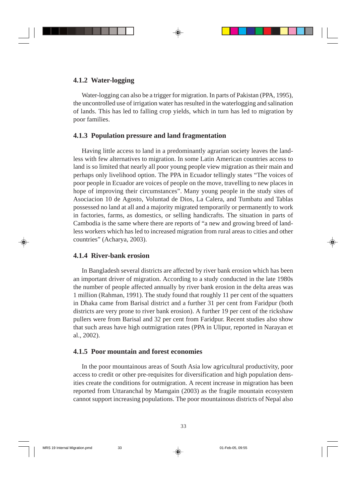## **4.1.2 Water-logging**

Water-logging can also be a trigger for migration. In parts of Pakistan (PPA, 1995), the uncontrolled use of irrigation water has resulted in the waterlogging and salination of lands. This has led to falling crop yields, which in turn has led to migration by poor families.

## **4.1.3 Population pressure and land fragmentation**

Having little access to land in a predominantly agrarian society leaves the landless with few alternatives to migration. In some Latin American countries access to land is so limited that nearly all poor young people view migration as their main and perhaps only livelihood option. The PPA in Ecuador tellingly states "The voices of poor people in Ecuador are voices of people on the move, travelling to new places in hope of improving their circumstances". Many young people in the study sites of Asociacion 10 de Agosto, Voluntad de Dios, La Calera, and Tumbatu and Tablas possessed no land at all and a majority migrated temporarily or permanently to work in factories, farms, as domestics, or selling handicrafts. The situation in parts of Cambodia is the same where there are reports of "a new and growing breed of landless workers which has led to increased migration from rural areas to cities and other countries" (Acharya, 2003).

## **4.1.4 River-bank erosion**

In Bangladesh several districts are affected by river bank erosion which has been an important driver of migration. According to a study conducted in the late 1980s the number of people affected annually by river bank erosion in the delta areas was 1 million (Rahman, 1991). The study found that roughly 11 per cent of the squatters in Dhaka came from Barisal district and a further 31 per cent from Faridpur (both districts are very prone to river bank erosion). A further 19 per cent of the rickshaw pullers were from Barisal and 32 per cent from Faridpur. Recent studies also show that such areas have high outmigration rates (PPA in Ulipur, reported in Narayan et al., 2002).

## **4.1.5 Poor mountain and forest economies**

In the poor mountainous areas of South Asia low agricultural productivity, poor access to credit or other pre-requisites for diversification and high population densities create the conditions for outmigration. A recent increase in migration has been reported from Uttaranchal by Mamgain (2003) as the fragile mountain ecosystem cannot support increasing populations. The poor mountainous districts of Nepal also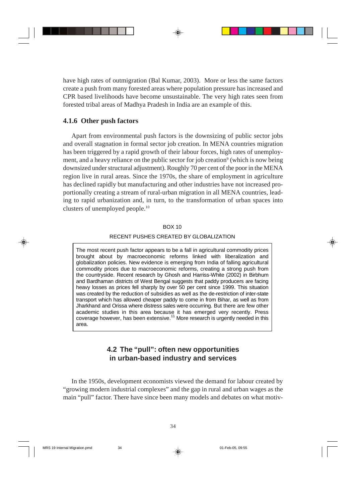have high rates of outmigration (Bal Kumar, 2003). More or less the same factors create a push from many forested areas where population pressure has increased and CPR based livelihoods have become unsustainable. The very high rates seen from forested tribal areas of Madhya Pradesh in India are an example of this.

## **4.1.6 Other push factors**

Apart from environmental push factors is the downsizing of public sector jobs and overall stagnation in formal sector job creation. In MENA countries migration has been triggered by a rapid growth of their labour forces, high rates of unemployment, and a heavy reliance on the public sector for job creation<sup>9</sup> (which is now being downsized under structural adjustment). Roughly 70 per cent of the poor in the MENA region live in rural areas. Since the 1970s, the share of employment in agriculture has declined rapidly but manufacturing and other industries have not increased proportionally creating a stream of rural-urban migration in all MENA countries, leading to rapid urbanization and, in turn, to the transformation of urban spaces into clusters of unemployed people.10

#### BOX 10

## RECENT PUSHES CREATED BY GLOBALIZATION

The most recent push factor appears to be a fall in agricultural commodity prices brought about by macroeconomic reforms linked with liberalization and globalization policies. New evidence is emerging from India of falling agricultural commodity prices due to macroeconomic reforms, creating a strong push from the countryside. Recent research by Ghosh and Harriss-White (2002) in Birbhum and Bardhaman districts of West Bengal suggests that paddy producers are facing heavy losses as prices fell sharply by over 50 per cent since 1999. This situation was created by the reduction of subsidies as well as the de-restriction of inter-state transport which has allowed cheaper paddy to come in from Bihar, as well as from Jharkhand and Orissa where distress sales were occurring. But there are few other academic studies in this area because it has emerged very recently. Press coverage however, has been extensive.<sup>11</sup> More research is urgently needed in this area.

## **4.2 The "pull": often new opportunities in urban-based industry and services**

In the 1950s, development economists viewed the demand for labour created by "growing modern industrial complexes" and the gap in rural and urban wages as the main "pull" factor. There have since been many models and debates on what motiv-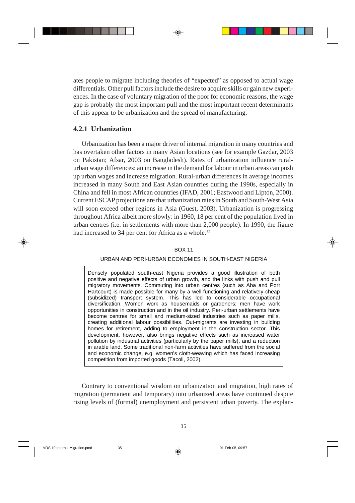ates people to migrate including theories of "expected" as opposed to actual wage differentials. Other pull factors include the desire to acquire skills or gain new experiences. In the case of voluntary migration of the poor for economic reasons, the wage gap is probably the most important pull and the most important recent determinants of this appear to be urbanization and the spread of manufacturing.

# **4.2.1 Urbanization**

Urbanization has been a major driver of internal migration in many countries and has overtaken other factors in many Asian locations (see for example Gazdar, 2003 on Pakistan; Afsar, 2003 on Bangladesh). Rates of urbanization influence ruralurban wage differences: an increase in the demand for labour in urban areas can push up urban wages and increase migration. Rural-urban differences in average incomes increased in many South and East Asian countries during the 1990s, especially in China and fell in most African countries (IFAD, 2001; Eastwood and Lipton, 2000). Current ESCAP projections are that urbanization rates in South and South-West Asia will soon exceed other regions in Asia (Guest, 2003). Urbanization is progressing throughout Africa albeit more slowly: in 1960, 18 per cent of the population lived in urban centres (i.e. in settlements with more than 2,000 people). In 1990, the figure had increased to 34 per cent for Africa as a whole.<sup>12</sup>

## BOX 11

## URBAN AND PERI-URBAN ECONOMIES IN SOUTH-EAST NIGERIA

Densely populated south-east Nigeria provides a good illustration of both positive and negative effects of urban growth, and the links with push and pull migratory movements. Commuting into urban centres (such as Aba and Port Hartcourt) is made possible for many by a well-functioning and relatively cheap (subsidized) transport system. This has led to considerable occupational diversification. Women work as housemaids or gardeners; men have work opportunities in construction and in the oil industry. Peri-urban settlements have become centres for small and medium-sized industries such as paper mills, creating additional labour possibilities. Out-migrants are investing in building homes for retirement, adding to employment in the construction sector. This development, however, also brings negative effects such as increased water pollution by industrial activities (particularly by the paper mills), and a reduction in arable land. Some traditional non-farm activities have suffered from the social and economic change, e.g. women's cloth-weaving which has faced increasing competition from imported goods (Tacoli, 2002).

Contrary to conventional wisdom on urbanization and migration, high rates of migration (permanent and temporary) into urbanized areas have continued despite rising levels of (formal) unemployment and persistent urban poverty. The explan-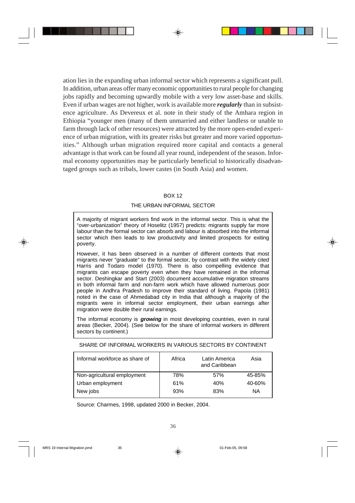ation lies in the expanding urban informal sector which represents a significant pull. In addition, urban areas offer many economic opportunities to rural people for changing jobs rapidly and becoming upwardly mobile with a very low asset-base and skills. Even if urban wages are not higher, work is available more *regularly* than in subsistence agriculture. As Devereux et al. note in their study of the Amhara region in Ethiopia "younger men (many of them unmarried and either landless or unable to farm through lack of other resources) were attracted by the more open-ended experience of urban migration, with its greater risks but greater and more varied opportunities." Although urban migration required more capital and contacts a general advantage is that work can be found all year round, independent of the season. Informal economy opportunities may be particularly beneficial to historically disadvantaged groups such as tribals, lower castes (in South Asia) and women.

## BOX 12

# THE URBAN INFORMAL SECTOR

A majority of migrant workers find work in the informal sector. This is what the "over-urbanization" theory of Hoselitz (1957) predicts: migrants supply far more labour than the formal sector can absorb and labour is absorbed into the informal sector which then leads to low productivity and limited prospects for exiting poverty.

However, it has been observed in a number of different contexts that most migrants never "graduate" to the formal sector, by contrast with the widely cited Harris and Todaro model (1970). There is also compelling evidence that migrants can escape poverty even when they have remained in the informal sector. Deshingkar and Start (2003) document accumulative migration streams in both informal farm and non-farm work which have allowed numerous poor people in Andhra Pradesh to improve their standard of living. Papola (1981) noted in the case of Ahmedabad city in India that although a majority of the migrants were in informal sector employment, their urban earnings after migration were double their rural earnings.

The informal economy is **growing** in most developing countries, even in rural areas (Becker, 2004). (See below for the share of informal workers in different sectors by continent.)

| Informal workforce as share of | Africa | Latin America<br>and Caribbean | Asia   |
|--------------------------------|--------|--------------------------------|--------|
| Non-agricultural employment    | 78%    | 57%                            | 45-85% |
| Urban employment               | 61%    | 40%                            | 40-60% |
| New jobs                       | 93%    | 83%                            | ΝA     |

## SHARE OF INFORMAL WORKERS IN VARIOUS SECTORS BY CONTINENT

Source: Charmes, 1998, updated 2000 in Becker, 2004.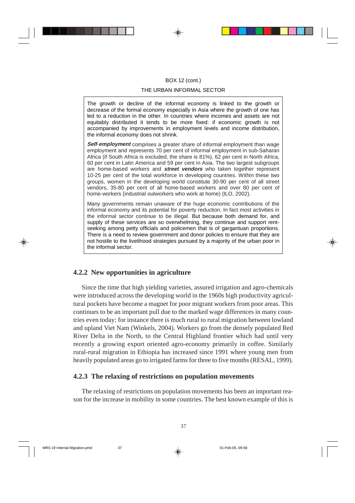### BOX 12 (cont.)

### THE URBAN INFORMAL SECTOR

The growth or decline of the informal economy is linked to the growth or decrease of the formal economy especially in Asia where the growth of one has led to a reduction in the other. In countries where incomes and assets are not equitably distributed it tends to be more fixed: if economic growth is not accompanied by improvements in employment levels and income distribution, the informal economy does not shrink.

**Self**-**employment** comprises a greater share of informal employment than wage employment and represents 70 per cent of informal employment in sub-Saharan Africa (if South Africa is excluded, the share is 81%), 62 per cent in North Africa, 60 per cent in Latin America and 59 per cent in Asia. The two largest subgroups are home-based workers and **street vendors** who taken together represent 10-25 per cent of the total workforce in developing countries. Within these two groups, women in the developing world constitute 30-90 per cent of all street vendors, 35-80 per cent of all home-based workers and over 80 per cent of home-workers (industrial outworkers who work at home) (ILO, 2002).

Many governments remain unaware of the huge economic contributions of the informal economy and its potential for poverty reduction. In fact most activities in the informal sector continue to be illegal. But because both demand for, and supply of these services are so overwhelming, they continue and support rentseeking among petty officials and policemen that is of gargantuan proportions. There is a need to review government and donor policies to ensure that they are not hostile to the livelihood strategies pursued by a majority of the urban poor in the informal sector.

# **4.2.2 New opportunities in agriculture**

Since the time that high yielding varieties, assured irrigation and agro-chemicals were introduced across the developing world in the 1960s high productivity agricultural pockets have become a magnet for poor migrant workers from poor areas. This continues to be an important pull due to the marked wage differences in many countries even today: for instance there is much rural to rural migration between lowland and upland Viet Nam (Winkels, 2004). Workers go from the densely populated Red River Delta in the North, to the Central Highland frontier which had until very recently a growing export oriented agro-economy primarily in coffee. Similarly rural-rural migration in Ethiopia has increased since 1991 where young men from heavily populated areas go to irrigated farms for three to five months (RESAL, 1999).

# **4.2.3 The relaxing of restrictions on population movements**

The relaxing of restrictions on population movements has been an important reason for the increase in mobility in some countries. The best known example of this is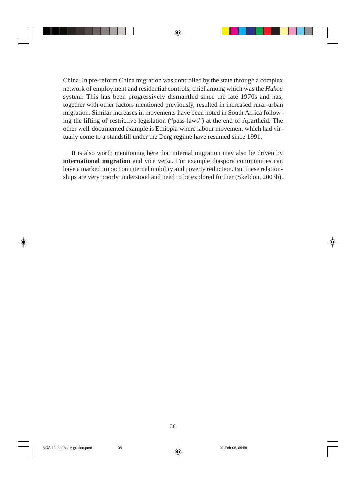China. In pre-reform China migration was controlled by the state through a complex network of employment and residential controls, chief among which was the *Hukou* system. This has been progressively dismantled since the late 1970s and has, together with other factors mentioned previously, resulted in increased rural-urban migration. Similar increases in movements have been noted in South Africa following the lifting of restrictive legislation ("pass-laws") at the end of Apartheid. The other well-documented example is Ethiopia where labour movement which had virtually come to a standstill under the Derg regime have resumed since 1991.

It is also worth mentioning here that internal migration may also be driven by **international migration** and vice versa. For example diaspora communities can have a marked impact on internal mobility and poverty reduction. But these relationships are very poorly understood and need to be explored further (Skeldon, 2003b).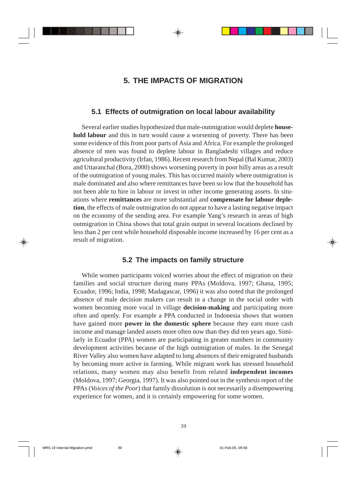# **5. THE IMPACTS OF MIGRATION**

# **5.1 Effects of outmigration on local labour availability**

Several earlier studies hypothesized that male-outmigration would deplete **household labour** and this in turn would cause a worsening of poverty. There has been some evidence of this from poor parts of Asia and Africa. For example the prolonged absence of men was found to deplete labour in Bangladeshi villages and reduce agricultural productivity (Irfan, 1986). Recent research from Nepal (Bal Kumar, 2003) and Uttaranchal (Bora, 2000) shows worsening poverty in poor hilly areas as a result of the outmigration of young males. This has occurred mainly where outmigration is male dominated and also where remittances have been so low that the household has not been able to hire in labour or invest in other income generating assets. In situations where **remittances** are more substantial and **compensate for labour depletion**, the effects of male outmigration do not appear to have a lasting negative impact on the economy of the sending area. For example Yang's research in areas of high outmigration in China shows that total grain output in several locations declined by less than 2 per cent while household disposable income increased by 16 per cent as a result of migration.

# **5.2 The impacts on family structure**

While women participants voiced worries about the effect of migration on their families and social structure during many PPAs (Moldova, 1997; Ghana, 1995; Ecuador, 1996; India, 1998; Madagascar, 1996) it was also noted that the prolonged absence of male decision makers can result in a change in the social order with women becoming more vocal in village **decision-making** and participating more often and openly. For example a PPA conducted in Indonesia shows that women have gained more **power in the domestic sphere** because they earn more cash income and manage landed assets more often now than they did ten years ago. Similarly in Ecuador (PPA) women are participating in greater numbers in community development activities because of the high outmigration of males. In the Senegal River Valley also women have adapted to long absences of their emigrated husbands by becoming more active in farming. While migrant work has stressed household relations, many women may also benefit from related **independent incomes** (Moldova, 1997; Georgia, 1997). It was also pointed out in the synthesis report of the PPAs (*Voices of the Poor*) that family dissolution is not necessarily a disempowering experience for women, and it is certainly empowering for some women.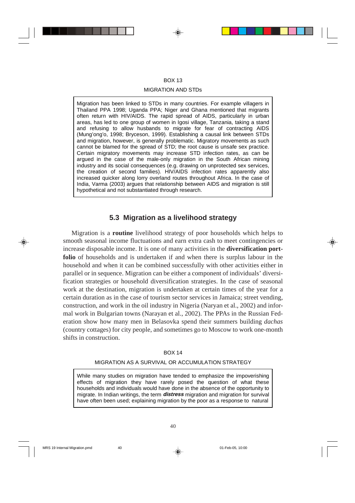### BOX 13

### MIGRATION AND STDs

Migration has been linked to STDs in many countries. For example villagers in Thailand PPA 1998; Uganda PPA; Niger and Ghana mentioned that migrants often return with HIV/AIDS. The rapid spread of AIDS, particularly in urban areas, has led to one group of women in Igosi village, Tanzania, taking a stand and refusing to allow husbands to migrate for fear of contracting AIDS (Mung'ong'o, 1998; Bryceson, 1999). Establishing a causal link between STDs and migration, however, is generally problematic. Migratory movements as such cannot be blamed for the spread of STD; the root cause is unsafe sex practice. Certain migratory movements may increase STD infection rates, as can be argued in the case of the male-only migration in the South African mining industry and its social consequences (e.g. drawing on unprotected sex services, the creation of second families). HIV/AIDS infection rates apparently also increased quicker along lorry overland routes throughout Africa. In the case of India, Varma (2003) argues that relationship between AIDS and migration is still hypothetical and not substantiated through research.

# **5.3 Migration as a livelihood strategy**

Migration is a **routine** livelihood strategy of poor households which helps to smooth seasonal income fluctuations and earn extra cash to meet contingencies or increase disposable income. It is one of many activities in the **diversification portfolio** of households and is undertaken if and when there is surplus labour in the household and when it can be combined successfully with other activities either in parallel or in sequence. Migration can be either a component of individuals' diversification strategies or household diversification strategies. In the case of seasonal work at the destination, migration is undertaken at certain times of the year for a certain duration as in the case of tourism sector services in Jamaica; street vending, construction, and work in the oil industry in Nigeria (Naryan et al., 2002) and informal work in Bulgarian towns (Narayan et al., 2002). The PPAs in the Russian Federation show how many men in Belasovka spend their summers building *dachas* (country cottages) for city people, and sometimes go to Moscow to work one-month shifts in construction.

### BOX 14

# MIGRATION AS A SURVIVAL OR ACCUMULATION STRATEGY

While many studies on migration have tended to emphasize the impoverishing effects of migration they have rarely posed the question of what these households and individuals would have done in the absence of the opportunity to migrate. In Indian writings, the term **distress** migration and migration for survival have often been used; explaining migration by the poor as a response to natural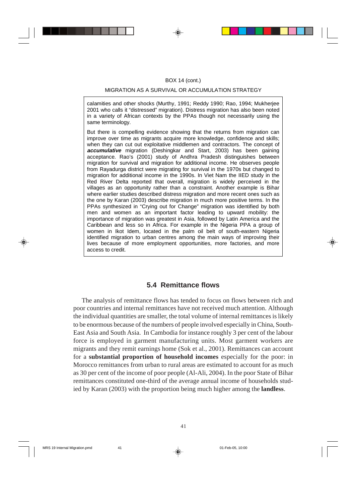### BOX 14 (cont.)

### MIGRATION AS A SURVIVAL OR ACCUMULATION STRATEGY

calamities and other shocks (Murthy, 1991; Reddy 1990; Rao, 1994; Mukherjee 2001 who calls it "distressed" migration). Distress migration has also been noted in a variety of African contexts by the PPAs though not necessarily using the same terminology.

But there is compelling evidence showing that the returns from migration can improve over time as migrants acquire more knowledge, confidence and skills; when they can cut out exploitative middlemen and contractors. The concept of **accumulative** migration (Deshingkar and Start, 2003) has been gaining acceptance. Rao's (2001) study of Andhra Pradesh distinguishes between migration for survival and migration for additional income. He observes people from Rayadurga district were migrating for survival in the 1970s but changed to migration for additional income in the 1990s. In Viet Nam the IIED study in the Red River Delta reported that overall, migration is widely perceived in the villages as an opportunity rather than a constraint. Another example is Bihar where earlier studies described distress migration and more recent ones such as the one by Karan (2003) describe migration in much more positive terms. In the PPAs synthesized in "Crying out for Change" migration was identified by both men and women as an important factor leading to upward mobility: the importance of migration was greatest in Asia, followed by Latin America and the Caribbean and less so in Africa. For example in the Nigeria PPA a group of women in Ikot Idem, located in the palm oil belt of south-eastern Nigeria identified migration to urban centres among the main ways of improving their lives because of more employment opportunities, more factories, and more access to credit.

# **5.4 Remittance flows**

The analysis of remittance flows has tended to focus on flows between rich and poor countries and internal remittances have not received much attention. Although the individual quantities are smaller, the total volume of internal remittances is likely to be enormous because of the numbers of people involved especially in China, South-East Asia and South Asia. In Cambodia for instance roughly 3 per cent of the labour force is employed in garment manufacturing units. Most garment workers are migrants and they remit earnings home (Sok et al., 2001). Remittances can account for a **substantial proportion of household incomes** especially for the poor: in Morocco remittances from urban to rural areas are estimated to account for as much as 30 per cent of the income of poor people (Al-Ali, 2004). In the poor State of Bihar remittances constituted one-third of the average annual income of households studied by Karan (2003) with the proportion being much higher among the **landless**.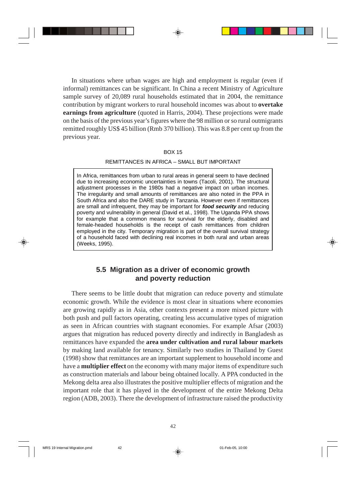In situations where urban wages are high and employment is regular (even if informal) remittances can be significant. In China a recent Ministry of Agriculture sample survey of 20,089 rural households estimated that in 2004, the remittance contribution by migrant workers to rural household incomes was about to **overtake earnings from agriculture** (quoted in Harris, 2004). These projections were made on the basis of the previous year's figures where the 98 million or so rural outmigrants remitted roughly US\$ 45 billion (Rmb 370 billion). This was 8.8 per cent up from the previous year.

### BOX 15

### REMITTANCES IN AFRICA – SMALL BUT IMPORTANT

In Africa, remittances from urban to rural areas in general seem to have declined due to increasing economic uncertainties in towns (Tacoli, 2001). The structural adjustment processes in the 1980s had a negative impact on urban incomes. The irregularity and small amounts of remittances are also noted in the PPA in South Africa and also the DARE study in Tanzania. However even if remittances are small and infrequent, they may be important for **food security** and reducing poverty and vulnerability in general (David et al., 1998). The Uganda PPA shows for example that a common means for survival for the elderly, disabled and female-headed households is the receipt of cash remittances from children employed in the city. Temporary migration is part of the overall survival strategy of a household faced with declining real incomes in both rural and urban areas (Weeks, 1995).

# **5.5 Migration as a driver of economic growth and poverty reduction**

There seems to be little doubt that migration can reduce poverty and stimulate economic growth. While the evidence is most clear in situations where economies are growing rapidly as in Asia, other contexts present a more mixed picture with both push and pull factors operating, creating less accumulative types of migration as seen in African countries with stagnant economies. For example Afsar (2003) argues that migration has reduced poverty directly and indirectly in Bangladesh as remittances have expanded the **area under cultivation and rural labour markets** by making land available for tenancy. Similarly two studies in Thailand by Guest (1998) show that remittances are an important supplement to household income and have a **multiplier effect** on the economy with many major items of expenditure such as construction materials and labour being obtained locally. A PPA conducted in the Mekong delta area also illustrates the positive multiplier effects of migration and the important role that it has played in the development of the entire Mekong Delta region (ADB, 2003). There the development of infrastructure raised the productivity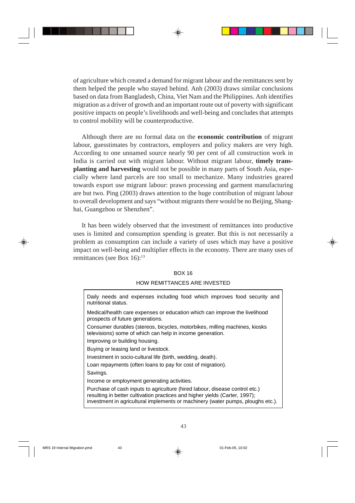of agriculture which created a demand for migrant labour and the remittances sent by them helped the people who stayed behind. Anh (2003) draws similar conclusions based on data from Bangladesh, China, Viet Nam and the Philippines. Anh identifies migration as a driver of growth and an important route out of poverty with significant positive impacts on people's livelihoods and well-being and concludes that attempts to control mobility will be counterproductive.

Although there are no formal data on the **economic contribution** of migrant labour, guesstimates by contractors, employers and policy makers are very high. According to one unnamed source nearly 90 per cent of all construction work in India is carried out with migrant labour. Without migrant labour, **timely transplanting and harvesting** would not be possible in many parts of South Asia, especially where land parcels are too small to mechanize. Many industries geared towards export use migrant labour: prawn processing and garment manufacturing are but two. Ping (2003) draws attention to the huge contribution of migrant labour to overall development and says "without migrants there would be no Beijing, Shanghai, Guangzhou or Shenzhen".

It has been widely observed that the investment of remittances into productive uses is limited and consumption spending is greater. But this is not necessarily a problem as consumption can include a variety of uses which may have a positive impact on well-being and multiplier effects in the economy. There are many uses of remittances (see Box 16):13

## BOX 16

## HOW REMITTANCES ARE INVESTED

| Daily needs and expenses including food which improves food security and<br>nutritional status.                                                                                                                                               |
|-----------------------------------------------------------------------------------------------------------------------------------------------------------------------------------------------------------------------------------------------|
| Medical/health care expenses or education which can improve the livelihood<br>prospects of future generations.                                                                                                                                |
| Consumer durables (stereos, bicycles, motorbikes, milling machines, kiosks<br>televisions) some of which can help in income generation.                                                                                                       |
| Improving or building housing.                                                                                                                                                                                                                |
| Buying or leasing land or livestock.                                                                                                                                                                                                          |
| Investment in socio-cultural life (birth, wedding, death).                                                                                                                                                                                    |
| Loan repayments (often loans to pay for cost of migration).                                                                                                                                                                                   |
| Savings.                                                                                                                                                                                                                                      |
| Income or employment generating activities.                                                                                                                                                                                                   |
| Purchase of cash inputs to agriculture (hired labour, disease control etc.)<br>resulting in better cultivation practices and higher yields (Carter, 1997);<br>investment in agricultural implements or machinery (water pumps, ploughs etc.). |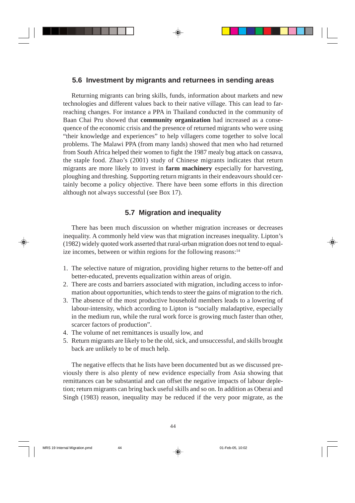# **5.6 Investment by migrants and returnees in sending areas**

Returning migrants can bring skills, funds, information about markets and new technologies and different values back to their native village. This can lead to farreaching changes. For instance a PPA in Thailand conducted in the community of Baan Chai Pru showed that **community organization** had increased as a consequence of the economic crisis and the presence of returned migrants who were using "their knowledge and experiences" to help villagers come together to solve local problems. The Malawi PPA (from many lands) showed that men who had returned from South Africa helped their women to fight the 1987 mealy bug attack on cassava, the staple food. Zhao's (2001) study of Chinese migrants indicates that return migrants are more likely to invest in **farm machinery** especially for harvesting, ploughing and threshing. Supporting return migrants in their endeavours should certainly become a policy objective. There have been some efforts in this direction although not always successful (see Box 17).

# **5.7 Migration and inequality**

There has been much discussion on whether migration increases or decreases inequality. A commonly held view was that migration increases inequality. Lipton's (1982) widely quoted work asserted that rural-urban migration does not tend to equalize incomes, between or within regions for the following reasons:14

- 1. The selective nature of migration, providing higher returns to the better-off and better-educated, prevents equalization within areas of origin.
- 2. There are costs and barriers associated with migration, including access to information about opportunities, which tends to steer the gains of migration to the rich.
- 3. The absence of the most productive household members leads to a lowering of labour-intensity, which according to Lipton is "socially maladaptive, especially in the medium run, while the rural work force is growing much faster than other, scarcer factors of production".
- 4. The volume of net remittances is usually low, and
- 5. Return migrants are likely to be the old, sick, and unsuccessful, and skills brought back are unlikely to be of much help.

The negative effects that he lists have been documented but as we discussed previously there is also plenty of new evidence especially from Asia showing that remittances can be substantial and can offset the negative impacts of labour depletion; return migrants can bring back useful skills and so on. In addition as Oberai and Singh (1983) reason, inequality may be reduced if the very poor migrate, as the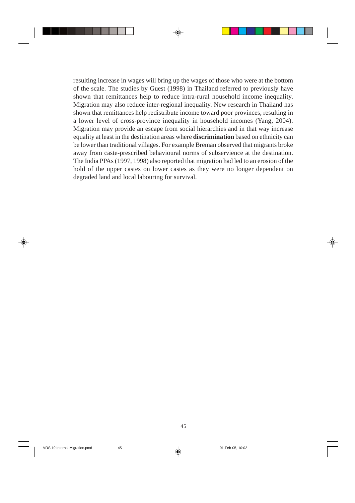resulting increase in wages will bring up the wages of those who were at the bottom of the scale. The studies by Guest (1998) in Thailand referred to previously have shown that remittances help to reduce intra-rural household income inequality. Migration may also reduce inter-regional inequality. New research in Thailand has shown that remittances help redistribute income toward poor provinces, resulting in a lower level of cross-province inequality in household incomes (Yang, 2004). Migration may provide an escape from social hierarchies and in that way increase equality at least in the destination areas where **discrimination** based on ethnicity can be lower than traditional villages. For example Breman observed that migrants broke away from caste-prescribed behavioural norms of subservience at the destination. The India PPAs (1997, 1998) also reported that migration had led to an erosion of the hold of the upper castes on lower castes as they were no longer dependent on degraded land and local labouring for survival.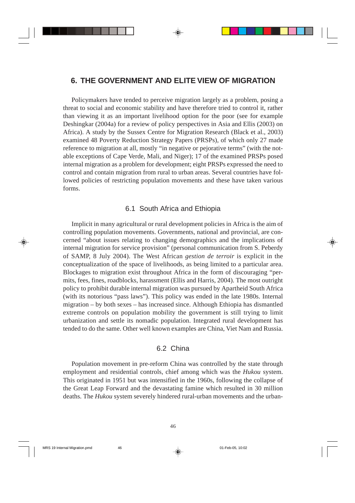# **6. THE GOVERNMENT AND ELITE VIEW OF MIGRATION**

Policymakers have tended to perceive migration largely as a problem, posing a threat to social and economic stability and have therefore tried to control it, rather than viewing it as an important livelihood option for the poor (see for example Deshingkar (2004a) for a review of policy perspectives in Asia and Ellis (2003) on Africa). A study by the Sussex Centre for Migration Research (Black et al., 2003) examined 48 Poverty Reduction Strategy Papers (PRSPs), of which only 27 made reference to migration at all, mostly "in negative or pejorative terms" (with the notable exceptions of Cape Verde, Mali, and Niger); 17 of the examined PRSPs posed internal migration as a problem for development; eight PRSPs expressed the need to control and contain migration from rural to urban areas. Several countries have followed policies of restricting population movements and these have taken various forms.

# 6.1 South Africa and Ethiopia

Implicit in many agricultural or rural development policies in Africa is the aim of controlling population movements. Governments, national and provincial, are concerned "about issues relating to changing demographics and the implications of internal migration for service provision" (personal communication from S. Peberdy of SAMP, 8 July 2004). The West African *gestion de terroir* is explicit in the conceptualization of the space of livelihoods, as being limited to a particular area. Blockages to migration exist throughout Africa in the form of discouraging "permits, fees, fines, roadblocks, harassment (Ellis and Harris, 2004). The most outright policy to prohibit durable internal migration was pursued by Apartheid South Africa (with its notorious "pass laws"). This policy was ended in the late 1980s. Internal migration – by both sexes – has increased since. Although Ethiopia has dismantled extreme controls on population mobility the government is still trying to limit urbanization and settle its nomadic population. Integrated rural development has tended to do the same. Other well known examples are China, Viet Nam and Russia.

# 6.2 China

Population movement in pre-reform China was controlled by the state through employment and residential controls, chief among which was the *Hukou* system. This originated in 1951 but was intensified in the 1960s, following the collapse of the Great Leap Forward and the devastating famine which resulted in 30 million deaths. The *Hukou* system severely hindered rural-urban movements and the urban-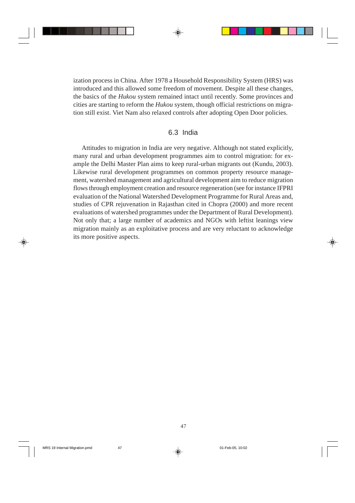ization process in China. After 1978 a Household Responsibility System (HRS) was introduced and this allowed some freedom of movement. Despite all these changes, the basics of the *Hukou* system remained intact until recently. Some provinces and cities are starting to reform the *Hukou* system, though official restrictions on migration still exist. Viet Nam also relaxed controls after adopting Open Door policies.

# 6.3 India

Attitudes to migration in India are very negative. Although not stated explicitly, many rural and urban development programmes aim to control migration: for example the Delhi Master Plan aims to keep rural-urban migrants out (Kundu, 2003). Likewise rural development programmes on common property resource management, watershed management and agricultural development aim to reduce migration flows through employment creation and resource regeneration (see for instance IFPRI evaluation of the National Watershed Development Programme for Rural Areas and, studies of CPR rejuvenation in Rajasthan cited in Chopra (2000) and more recent evaluations of watershed programmes under the Department of Rural Development). Not only that; a large number of academics and NGOs with leftist leanings view migration mainly as an exploitative process and are very reluctant to acknowledge its more positive aspects.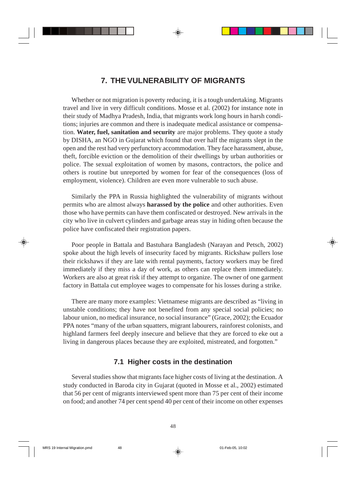# **7. THE VULNERABILITY OF MIGRANTS**

Whether or not migration is poverty reducing, it is a tough undertaking. Migrants travel and live in very difficult conditions. Mosse et al. (2002) for instance note in their study of Madhya Pradesh, India, that migrants work long hours in harsh conditions; injuries are common and there is inadequate medical assistance or compensation. **Water, fuel, sanitation and security** are major problems. They quote a study by DISHA, an NGO in Gujarat which found that over half the migrants slept in the open and the rest had very perfunctory accommodation. They face harassment, abuse, theft, forcible eviction or the demolition of their dwellings by urban authorities or police. The sexual exploitation of women by masons, contractors, the police and others is routine but unreported by women for fear of the consequences (loss of employment, violence). Children are even more vulnerable to such abuse.

Similarly the PPA in Russia highlighted the vulnerability of migrants without permits who are almost always **harassed by the police** and other authorities. Even those who have permits can have them confiscated or destroyed. New arrivals in the city who live in culvert cylinders and garbage areas stay in hiding often because the police have confiscated their registration papers.

Poor people in Battala and Bastuhara Bangladesh (Narayan and Petsch, 2002) spoke about the high levels of insecurity faced by migrants. Rickshaw pullers lose their rickshaws if they are late with rental payments, factory workers may be fired immediately if they miss a day of work, as others can replace them immediately. Workers are also at great risk if they attempt to organize. The owner of one garment factory in Battala cut employee wages to compensate for his losses during a strike.

There are many more examples: Vietnamese migrants are described as "living in unstable conditions; they have not benefited from any special social policies; no labour union, no medical insurance, no social insurance" (Grace, 2002); the Ecuador PPA notes "many of the urban squatters, migrant labourers, rainforest colonists, and highland farmers feel deeply insecure and believe that they are forced to eke out a living in dangerous places because they are exploited, mistreated, and forgotten."

# **7.1 Higher costs in the destination**

Several studies show that migrants face higher costs of living at the destination. A study conducted in Baroda city in Gujarat (quoted in Mosse et al., 2002) estimated that 56 per cent of migrants interviewed spent more than 75 per cent of their income on food; and another 74 per cent spend 40 per cent of their income on other expenses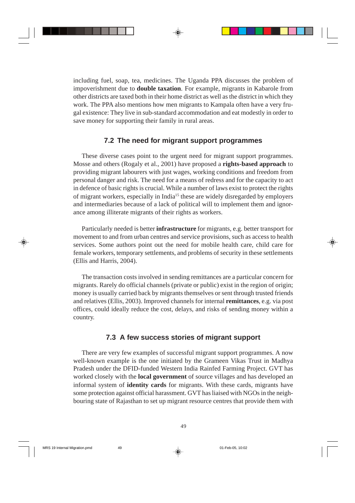including fuel, soap, tea, medicines. The Uganda PPA discusses the problem of impoverishment due to **double taxation***.* For example, migrants in Kabarole from other districts are taxed both in their home district as well as the district in which they work. The PPA also mentions how men migrants to Kampala often have a very frugal existence: They live in sub-standard accommodation and eat modestly in order to save money for supporting their family in rural areas.

# **7.2 The need for migrant support programmes**

These diverse cases point to the urgent need for migrant support programmes. Mosse and others (Rogaly et al., 2001) have proposed a **rights-based approach** to providing migrant labourers with just wages, working conditions and freedom from personal danger and risk. The need for a means of redress and for the capacity to act in defence of basic rights is crucial. While a number of laws exist to protect the rights of migrant workers, especially in India15 these are widely disregarded by employers and intermediaries because of a lack of political will to implement them and ignorance among illiterate migrants of their rights as workers.

Particularly needed is better **infrastructure** for migrants, e.g. better transport for movement to and from urban centres and service provisions, such as access to health services. Some authors point out the need for mobile health care, child care for female workers, temporary settlements, and problems of security in these settlements (Ellis and Harris, 2004).

The transaction costs involved in sending remittances are a particular concern for migrants. Rarely do official channels (private or public) exist in the region of origin; money is usually carried back by migrants themselves or sent through trusted friends and relatives (Ellis, 2003). Improved channels for internal **remittances**, e.g. via post offices, could ideally reduce the cost, delays, and risks of sending money within a country.

# **7.3 A few success stories of migrant support**

There are very few examples of successful migrant support programmes. A now well-known example is the one initiated by the Grameen Vikas Trust in Madhya Pradesh under the DFID-funded Western India Rainfed Farming Project. GVT has worked closely with the **local government** of source villages and has developed an informal system of **identity cards** for migrants. With these cards, migrants have some protection against official harassment. GVT has liaised with NGOs in the neighbouring state of Rajasthan to set up migrant resource centres that provide them with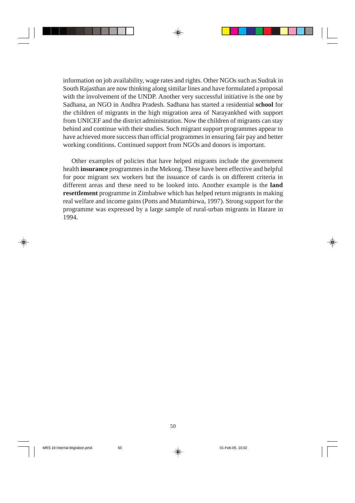information on job availability, wage rates and rights. Other NGOs such as Sudrak in South Rajasthan are now thinking along similar lines and have formulated a proposal with the involvement of the UNDP. Another very successful initiative is the one by Sadhana, an NGO in Andhra Pradesh. Sadhana has started a residential **school** for the children of migrants in the high migration area of Narayankhed with support from UNICEF and the district administration. Now the children of migrants can stay behind and continue with their studies. Such migrant support programmes appear to have achieved more success than official programmes in ensuring fair pay and better working conditions. Continued support from NGOs and donors is important.

Other examples of policies that have helped migrants include the government health **insurance** programmes in the Mekong. These have been effective and helpful for poor migrant sex workers but the issuance of cards is on different criteria in different areas and these need to be looked into. Another example is the **land resettlement** programme in Zimbabwe which has helped return migrants in making real welfare and income gains (Potts and Mutambirwa, 1997). Strong support for the programme was expressed by a large sample of rural-urban migrants in Harare in 1994.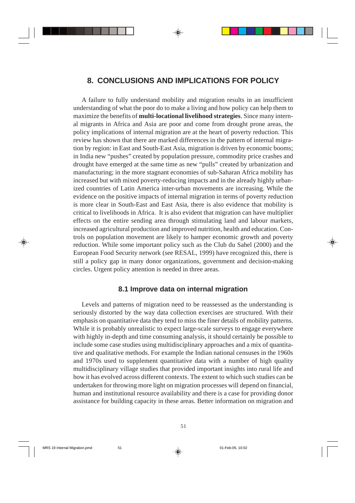# **8. CONCLUSIONS AND IMPLICATIONS FOR POLICY**

A failure to fully understand mobility and migration results in an insufficient understanding of what the poor do to make a living and how policy can help them to maximize the benefits of **multi-locational livelihood strategies**. Since many internal migrants in Africa and Asia are poor and come from drought prone areas, the policy implications of internal migration are at the heart of poverty reduction. This review has shown that there are marked differences in the pattern of internal migration by region: in East and South-East Asia, migration is driven by economic booms; in India new "pushes" created by population pressure, commodity price crashes and drought have emerged at the same time as new "pulls" created by urbanization and manufacturing; in the more stagnant economies of sub-Saharan Africa mobility has increased but with mixed poverty-reducing impacts and in the already highly urbanized countries of Latin America inter-urban movements are increasing. While the evidence on the positive impacts of internal migration in terms of poverty reduction is more clear in South-East and East Asia, there is also evidence that mobility is critical to livelihoods in Africa. It is also evident that migration can have multiplier effects on the entire sending area through stimulating land and labour markets, increased agricultural production and improved nutrition, health and education. Controls on population movement are likely to hamper economic growth and poverty reduction. While some important policy such as the Club du Sahel (2000) and the European Food Security network (see RESAL, 1999) have recognized this, there is still a policy gap in many donor organizations, government and decision-making circles. Urgent policy attention is needed in three areas.

# **8.1 Improve data on internal migration**

Levels and patterns of migration need to be reassessed as the understanding is seriously distorted by the way data collection exercises are structured. With their emphasis on quantitative data they tend to miss the finer details of mobility patterns. While it is probably unrealistic to expect large-scale surveys to engage everywhere with highly in-depth and time consuming analysis, it should certainly be possible to include some case studies using multidisciplinary approaches and a mix of quantitative and qualitative methods. For example the Indian national censuses in the 1960s and 1970s used to supplement quantitative data with a number of high quality multidisciplinary village studies that provided important insights into rural life and how it has evolved across different contexts. The extent to which such studies can be undertaken for throwing more light on migration processes will depend on financial, human and institutional resource availability and there is a case for providing donor assistance for building capacity in these areas. Better information on migration and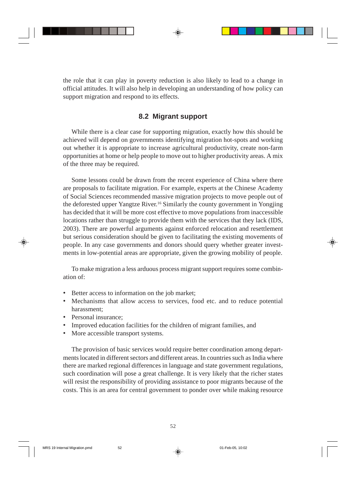the role that it can play in poverty reduction is also likely to lead to a change in official attitudes. It will also help in developing an understanding of how policy can support migration and respond to its effects.

# **8.2 Migrant support**

While there is a clear case for supporting migration, exactly how this should be achieved will depend on governments identifying migration hot-spots and working out whether it is appropriate to increase agricultural productivity, create non-farm opportunities at home or help people to move out to higher productivity areas. A mix of the three may be required.

Some lessons could be drawn from the recent experience of China where there are proposals to facilitate migration. For example, experts at the Chinese Academy of Social Sciences recommended massive migration projects to move people out of the deforested upper Yangtze River.16 Similarly the county government in Yongjing has decided that it will be more cost effective to move populations from inaccessible locations rather than struggle to provide them with the services that they lack (IDS, 2003). There are powerful arguments against enforced relocation and resettlement but serious consideration should be given to facilitating the existing movements of people. In any case governments and donors should query whether greater investments in low-potential areas are appropriate, given the growing mobility of people.

To make migration a less arduous process migrant support requires some combination of:

- Better access to information on the job market;
- Mechanisms that allow access to services, food etc. and to reduce potential harassment;
- Personal insurance:
- Improved education facilities for the children of migrant families, and
- More accessible transport systems.

The provision of basic services would require better coordination among departments located in different sectors and different areas. In countries such as India where there are marked regional differences in language and state government regulations, such coordination will pose a great challenge. It is very likely that the richer states will resist the responsibility of providing assistance to poor migrants because of the costs. This is an area for central government to ponder over while making resource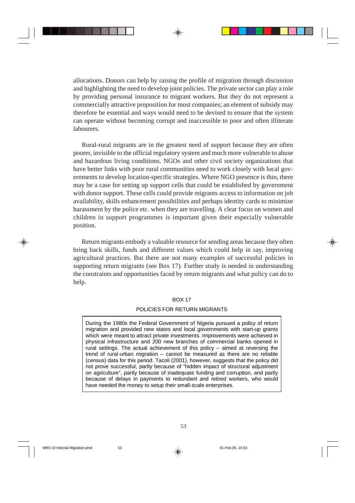allocations. Donors can help by raising the profile of migration through discussion and highlighting the need to develop joint policies. The private sector can play a role by providing personal insurance to migrant workers. But they do not represent a commercially attractive proposition for most companies; an element of subsidy may therefore be essential and ways would need to be devised to ensure that the system can operate without becoming corrupt and inaccessible to poor and often illiterate labourers.

Rural-rural migrants are in the greatest need of support because they are often poorer, invisible to the official regulatory system and much more vulnerable to abuse and hazardous living conditions. NGOs and other civil society organizations that have better links with poor rural communities need to work closely with local governments to develop location-specific strategies. Where NGO presence is thin, there may be a case for setting up support cells that could be established by government with donor support. These cells could provide migrants access to information on job availability, skills enhancement possibilities and perhaps identity cards to minimize harassment by the police etc. when they are travelling. A clear focus on women and children in support programmes is important given their especially vulnerable position.

Return migrants embody a valuable resource for sending areas because they often bring back skills, funds and different values which could help in say, improving agricultural practices. But there are not many examples of successful policies in supporting return migrants (see Box 17). Further study is needed in understanding the constraints and opportunities faced by return migrants and what policy can do to help.

### BOX 17

## POLICIES FOR RETURN MIGRANTS

During the 1980s the Federal Government of Nigeria pursued a policy of return migration and provided new states and local governments with start-up grants which were meant to attract private investments. Improvements were achieved in physical infrastructure and 200 new branches of commercial banks opened in rural settings. The actual achievement of this policy – aimed at reversing the trend of rural-urban migration – cannot be measured as there are no reliable (census) data for this period. Tacoli (2001), however, suggests that the policy did not prove successful, partly because of "hidden impact of structural adjustment on agriculture", partly because of inadequate funding and corruption, and partly because of delays in payments to redundant and retired workers, who would have needed the money to setup their small-scale enterprises.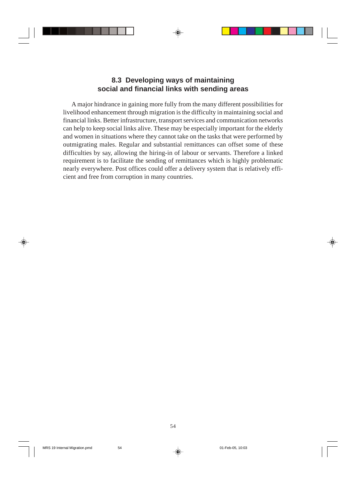# **8.3 Developing ways of maintaining social and financial links with sending areas**

A major hindrance in gaining more fully from the many different possibilities for livelihood enhancement through migration is the difficulty in maintaining social and financial links. Better infrastructure, transport services and communication networks can help to keep social links alive. These may be especially important for the elderly and women in situations where they cannot take on the tasks that were performed by outmigrating males. Regular and substantial remittances can offset some of these difficulties by say, allowing the hiring-in of labour or servants. Therefore a linked requirement is to facilitate the sending of remittances which is highly problematic nearly everywhere. Post offices could offer a delivery system that is relatively efficient and free from corruption in many countries.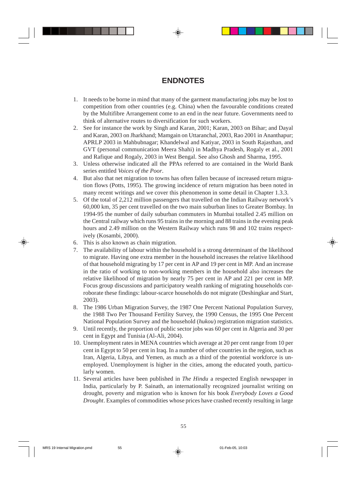# **ENDNOTES**

- 1. It needs to be borne in mind that many of the garment manufacturing jobs may be lost to competition from other countries (e.g. China) when the favourable conditions created by the Multifibre Arrangement come to an end in the near future. Governments need to think of alternative routes to diversification for such workers.
- 2. See for instance the work by Singh and Karan, 2001; Karan, 2003 on Bihar; and Dayal and Karan, 2003 on Jharkhand; Mamgain on Uttaranchal, 2003, Rao 2001 in Ananthapur; APRLP 2003 in Mahbubnagar; Khandelwal and Katiyar, 2003 in South Rajasthan, and GVT (personal communication Meera Shahi) in Madhya Pradesh, Rogaly et al., 2001 and Rafique and Rogaly, 2003 in West Bengal. See also Ghosh and Sharma, 1995.
- 3. Unless otherwise indicated all the PPAs referred to are contained in the World Bank series entitled *Voices of the Poor*.
- 4. But also that net migration to towns has often fallen because of increased return migration flows (Potts, 1995). The growing incidence of return migration has been noted in many recent writings and we cover this phenomenon in some detail in Chapter 1.3.3.
- 5. Of the total of 2,212 million passengers that travelled on the Indian Railway network's 60,000 km, 35 per cent travelled on the two main suburban lines to Greater Bombay. In 1994-95 the number of daily suburban commuters in Mumbai totalled 2.45 million on the Central railway which runs 95 trains in the morning and 88 trains in the evening peak hours and 2.49 million on the Western Railway which runs 98 and 102 trains respectively (Kosambi, 2000).
- 6. This is also known as chain migration.
- 7. The availability of labour within the household is a strong determinant of the likelihood to migrate. Having one extra member in the household increases the relative likelihood of that household migrating by 17 per cent in AP and 19 per cent in MP. And an increase in the ratio of working to non-working members in the household also increases the relative likelihood of migration by nearly 75 per cent in AP and 221 per cent in MP. Focus group discussions and participatory wealth ranking of migrating households corroborate these findings: labour-scarce households do not migrate (Deshingkar and Start, 2003).
- 8. The 1986 Urban Migration Survey, the 1987 One Percent National Population Survey, the 1988 Two Per Thousand Fertility Survey, the 1990 Census, the 1995 One Percent National Population Survey and the household (*hukou*) registration migration statistics.
- 9. Until recently, the proportion of public sector jobs was 60 per cent in Algeria and 30 per cent in Egypt and Tunisia (Al-Ali, 2004).
- 10. Unemployment rates in MENA countries which average at 20 per cent range from 10 per cent in Egypt to 50 per cent in Iraq. In a number of other countries in the region, such as Iran, Algeria, Libya, and Yemen, as much as a third of the potential workforce is unemployed. Unemployment is higher in the cities, among the educated youth, particularly women.
- 11. Several articles have been published in *The Hindu* a respected English newspaper in India, particularly by P. Sainath, an internationally recognized journalist writing on drought, poverty and migration who is known for his book *Everybody Loves a Good Drought*. Examples of commodities whose prices have crashed recently resulting in large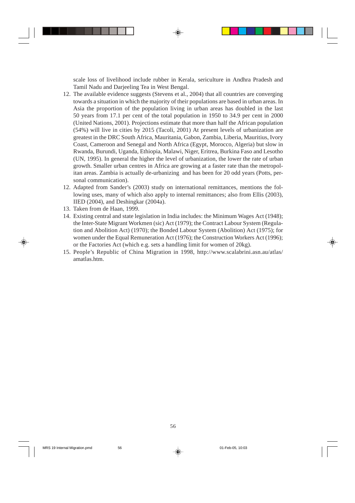scale loss of livelihood include rubber in Kerala, sericulture in Andhra Pradesh and Tamil Nadu and Darjeeling Tea in West Bengal.

- 12. The available evidence suggests (Stevens et al., 2004) that all countries are converging towards a situation in which the majority of their populations are based in urban areas. In Asia the proportion of the population living in urban areas has doubled in the last 50 years from 17.1 per cent of the total population in 1950 to 34.9 per cent in 2000 (United Nations, 2001). Projections estimate that more than half the African population (54%) will live in cities by 2015 (Tacoli, 2001) At present levels of urbanization are greatest in the DRC South Africa, Mauritania, Gabon, Zambia, Liberia, Mauritius, Ivory Coast, Cameroon and Senegal and North Africa (Egypt, Morocco, Algeria) but slow in Rwanda, Burundi, Uganda, Ethiopia, Malawi, Niger, Eritrea, Burkina Faso and Lesotho (UN, 1995). In general the higher the level of urbanization, the lower the rate of urban growth. Smaller urban centres in Africa are growing at a faster rate than the metropolitan areas. Zambia is actually de-urbanizing and has been for 20 odd years (Potts, personal communication).
- 12. Adapted from Sander's (2003) study on international remittances, mentions the following uses, many of which also apply to internal remittances; also from Ellis (2003), IIED (2004), and Deshingkar (2004a).
- 13. Taken from de Haan, 1999.
- 14. Existing central and state legislation in India includes: the Minimum Wages Act (1948); the Inter-State Migrant Workmen (sic) Act (1979); the Contract Labour System (Regulation and Abolition Act) (1970); the Bonded Labour System (Abolition) Act (1975); for women under the Equal Remuneration Act (1976); the Construction Workers Act (1996); or the Factories Act (which e.g. sets a handling limit for women of 20kg).
- 15. People's Republic of China Migration in 1998, http://www.scalabrini.asn.au/atlas/ amatlas.htm.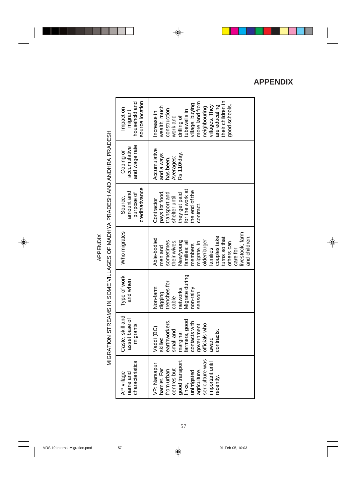APPENDIX APPENDIX

MIGRATION STREAMS IN SOME VILLAGES OF MADHYA PRADESH AND ANDHRA PRADESH MIGRATION STREAMS IN SOME VILLAGES OF MADHYA PRADESH AND ANDHRA PRADESH

| household and<br>source location<br>Impact on<br>migrant | their children in<br>nore land from<br>illage, buying<br>are educating<br>villages. They<br>good schools.<br>paighbouring<br>wealth, much<br>construction<br>ubewells in<br>Increase in<br>drilling of<br>work and                     |
|----------------------------------------------------------|----------------------------------------------------------------------------------------------------------------------------------------------------------------------------------------------------------------------------------------|
| and wage rate<br>accumulative<br>Coping or               | Accumulative<br>Rs 110/day.<br>and always<br>Averages:<br>has been.                                                                                                                                                                    |
| credit/advance<br>amount and<br>purpose of<br>Source,    | for the work at<br>the end of the<br>ransport and<br>pays for food,<br>they get paid<br>shelter until<br>Contractor<br>contract.                                                                                                       |
| Who migrates                                             | livestock, farm<br>couples take<br>turns so that<br>and children.<br>Able-bodied<br>New/young<br>older/larger<br>sometimes<br>their wives.<br>families: all<br>nigrate. In<br>others can<br>members<br>men and<br>care for<br>families |
| Type of work<br>and when                                 | Migrate during<br>trenches for<br>Non-farm:<br>networks.<br>non-rainy<br>digging<br>season.<br>cable                                                                                                                                   |
| Caste, skill and<br>asset base of<br>migrants            | farmers, good<br>earthworkers,<br>contacts with<br>officials who<br>government<br>Vaddi (BC)<br>small and<br>marginal<br>contracts.<br>skilled<br>award                                                                                |
| characteristics<br>AP village<br>name and                | sericulture was<br>good transport<br>important until<br>VP: Narsapur<br>hamlet. Far<br>centres but<br>agriculture,<br>from urban<br>unirrigated<br>recently.<br>links,                                                                 |

# **APPENDIX**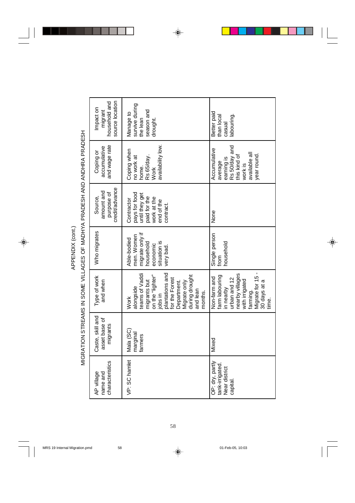| MIGRATION STREAMS IN SOME VILLAGES OF MADHYA PRADESH AND ANDHRA PRADESH | source location<br>household and<br>Impact on<br>migrant | survive during<br>season and<br>Manage to<br>the lean<br>drought.                                                                                                                                      | Better paid<br>labouring.<br>than local<br>casual                                                                                                         |
|-------------------------------------------------------------------------|----------------------------------------------------------|--------------------------------------------------------------------------------------------------------------------------------------------------------------------------------------------------------|-----------------------------------------------------------------------------------------------------------------------------------------------------------|
|                                                                         | and wage rate<br>accumulative<br>Coping or               | availability low.<br>Coping when<br>Rs 65/day.<br>no work at<br>home.<br><b>Work</b>                                                                                                                   | earning is<br>Rs 50/day and<br>this kind of<br>Accumulative<br>available all<br>year round.<br>average<br>work is                                         |
|                                                                         | credit/advance<br>amount and<br>purpose of<br>Source,    | pays for food<br>until they get<br>paid for the<br>work at the<br>Contractor<br>end of the<br>contract.                                                                                                | None                                                                                                                                                      |
|                                                                         | Who migrates                                             | migrate only if<br>men. Women<br>Able-bodied<br>situation is<br>household<br>economic<br>very bad.                                                                                                     | Single person<br>household<br>from                                                                                                                        |
|                                                                         | Type of work<br>and when                                 | plantations and<br>teams of Vaddi<br>during drought<br>migrants but<br>on the "lighter"<br>for the Forest<br>Department.<br>Migrate only<br>alongside<br>and lean<br>iobs in<br>months.<br><b>Work</b> | Migrate for 15 -<br>nearby villages<br>farm labouring<br>Non-farm and<br>urban and 12<br>with irrigated<br>30 days at a<br>in nearby<br>farming.<br>time. |
|                                                                         | Caste, skill and<br>asset base of<br>migrants            | Mala (SC)<br>marginal<br>farmers                                                                                                                                                                       | Mixed                                                                                                                                                     |
|                                                                         | characteristics<br>AP village<br>name and                | VP: SC hamlet                                                                                                                                                                                          | OP: dry, partly<br>tank-irrigated.<br>Near district<br>capital                                                                                            |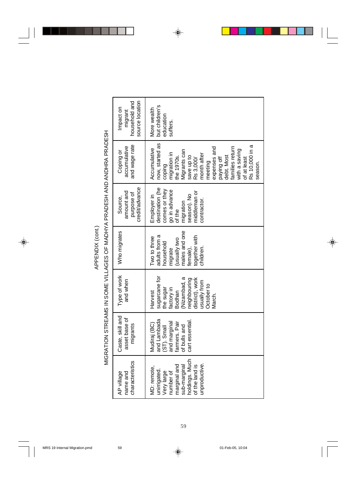| MIGRATION STREAMS IN SOME VILLAGES OF MADHYA PRADESH AND ANDHRA PRADESH | source location<br>household and<br>Impact on<br>migrant | but children's<br>More wealth<br>education<br>suffers.                                                                                                                                                                                                                  |
|-------------------------------------------------------------------------|----------------------------------------------------------|-------------------------------------------------------------------------------------------------------------------------------------------------------------------------------------------------------------------------------------------------------------------------|
|                                                                         | and wage rate<br>accumulative<br>Coping or               | now, started as<br>Rs 10,000 in a<br>expenses and<br>families retum<br>Accumulative<br>with a saving<br>Migrants can<br>migration in<br>the 1970s.<br>month after<br>debt. Most<br>save up to<br>paying off<br>of at least<br>Rs 3,000/<br>meeting<br>season.<br>coping |
|                                                                         | credit/advance<br>amount and<br>purpose of<br>Source,    | destination (he<br>comes or they<br>go in advance<br>middleman or<br>season). No<br>Employer in<br>contractor.<br>migration<br>of the                                                                                                                                   |
|                                                                         | Who migrates                                             | males and one<br>adults from a<br>together with<br>Two to three<br>ow <sub>1</sub> Allensn)<br>household<br>female),<br>children.<br>migrate                                                                                                                            |
|                                                                         | Type of work<br>and when                                 | sugarcane for<br>(Nizambad, a<br>neighbouring<br>district), work<br>usually from<br>October to<br>the sugar<br>factory in<br><b>Bodhan</b><br>Harvest<br>Vlarch.                                                                                                        |
|                                                                         | Caste, skill and<br>asset base of<br>migrants            | and Lambada<br>cart essential<br>farmers. Pair<br>and marginal<br>Mudiraj (BC)<br>of bulls and<br>(ST). Small                                                                                                                                                           |
|                                                                         | characteristics<br>AP village<br>name and                | holdings. Much<br>unproductive.<br>marginal and<br>sub-marginal<br>of the land is<br>MD: remote,<br>unirrigated.<br>Very large<br>number of                                                                                                                             |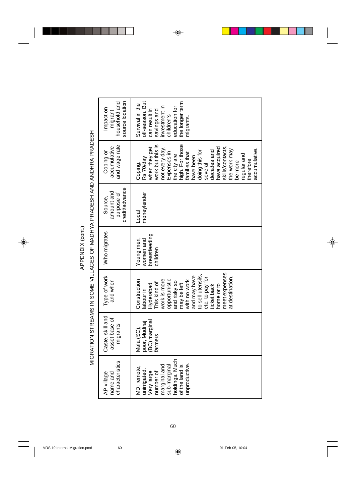MIGRATION STREAMS IN SOME VILLAGES OF MADHYA PRADESH AND ANDHRA PRADESH MIGRATION STREAMS IN SOME VILLAGES OF MADHYA PRADESH AND ANDHRA PRADESH

| source location<br>household and<br>Impact on<br>migrant | off-season. But<br>the longer term<br>Survival in the<br>investment in<br>education for<br>can result in<br>savings and<br>children's<br>nigrants.                                                                                                                                                                   |
|----------------------------------------------------------|----------------------------------------------------------------------------------------------------------------------------------------------------------------------------------------------------------------------------------------------------------------------------------------------------------------------|
| and wage rate<br>accumulative<br>Coping or               | high. For those<br>families that<br>work but this is<br>skills/contacts,<br>have acquired<br>when they get<br>not every day.<br>Expenses in<br>accumulative.<br>the work may<br>decades and<br>doing this for<br>the city are<br>regular and<br>have been<br>Rs 70/day<br>therefore<br>be more<br>Coping.<br>several |
| credit/advance<br>amount and<br>purpose of<br>Source,    | moneylender<br>Local                                                                                                                                                                                                                                                                                                 |
| Who migrates                                             | breastfeeding<br>Young men,<br>women and<br>children                                                                                                                                                                                                                                                                 |
| Type of work<br>and when                                 | meet expenses<br>to sell utensils,<br>and may have<br>at destination.<br>etc. to pay for<br>opportunistic<br>work is more<br>Construction<br>with no work<br>and risky so<br>his kind of<br>may be left<br>Hyderabad.<br>home or to<br>ticket back<br>labour in                                                      |
| Caste, skill and<br>asset base of<br>migrants            | Mala (SC),<br>poor, Mudiraj<br>(BC) marginal<br>sumure                                                                                                                                                                                                                                                               |
| characteristics<br>AP village<br>name and                | holdings. Much<br>unproductive.<br>marginal and<br>sub-marginal<br>of the land is<br>MD: remote,<br>unirrigated.<br>Very large<br>number of                                                                                                                                                                          |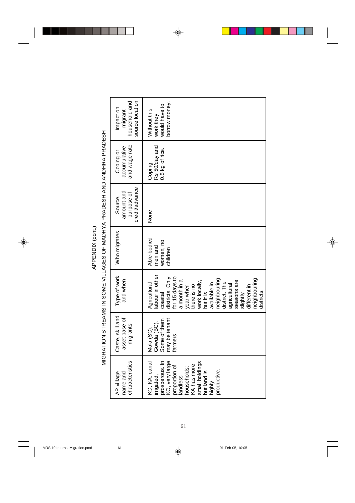| source location<br>household and<br>Impact on<br>migrant | borrow money.<br>would have to<br>Without this<br>work they                                                                                                                                                                                                                                       |
|----------------------------------------------------------|---------------------------------------------------------------------------------------------------------------------------------------------------------------------------------------------------------------------------------------------------------------------------------------------------|
| and wage rate<br>accumulative<br>Coping or               | Rs 50/day and<br>0.5 kg of rice.<br>Coping.                                                                                                                                                                                                                                                       |
| credit/advance<br>amount and<br>purpose of<br>Source,    | None                                                                                                                                                                                                                                                                                              |
| Who migrates                                             | Able-bodied<br>women, no<br>men and<br>children                                                                                                                                                                                                                                                   |
| Type of work<br>and when                                 | abour in other<br>for 15 days to<br>districts. Only<br>neighbouring<br>neighbouring<br>a month in a<br>seasons are<br>work locally,<br>district. The<br>Agricultural<br>available in<br>agricultural<br>year when<br>here is no<br>different in<br>but it is<br>coastal<br>slightly<br>districts. |
| Caste, skill and<br>asset base of<br>migrants            | may be tenant<br>Some of them<br>Gowda (BC).<br>Mala (SC),<br>farmers.                                                                                                                                                                                                                            |
| characteristics<br>AP village<br>name and                | prosperous. In<br>KO, very large<br>KO, KA: canal<br>small holdings<br>KA has more<br>proportion of<br>households;<br>productive.<br>but land is<br>irrigated,<br>landless<br>highly                                                                                                              |

MIGRATION STREAMS IN SOME VILLAGES OF MADHYA PRADESH AND ANDHRA PRADESH MIGRATION STREAMS IN SOME VILLAGES OF MADHYA PRADESH AND ANDHRA PRADESH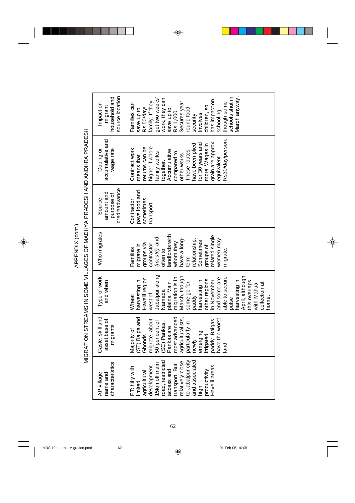| source location<br>household and<br>Impact on<br>migrant<br>accumulative and<br>Coping or<br>wage rate | Vlarch anyway.<br>schools shut in<br>get two weeks'<br>work, they can<br>has impact on<br>though some<br>family. If they<br>save up to<br>Rs 1,000.<br>Secures year<br>Families can<br>children, so<br>round food<br>Rs 50/day/<br>save up to<br>schooling,<br>security.<br>lnvolves<br>Rs30/day/person.<br>grain are approx.<br>for 30 years and<br>have been plied<br>more. Wages in<br>returns can be<br>higher if whole<br>Contract work<br>Accumulative<br>These routes<br>compared to<br>amily works<br>other works.<br>means that<br>equivalent<br>together. |
|--------------------------------------------------------------------------------------------------------|---------------------------------------------------------------------------------------------------------------------------------------------------------------------------------------------------------------------------------------------------------------------------------------------------------------------------------------------------------------------------------------------------------------------------------------------------------------------------------------------------------------------------------------------------------------------|
| credit/advance<br>amount and<br>purpose of<br>Source,                                                  | pays food and<br>sometimes<br>Contractor<br>ransport.                                                                                                                                                                                                                                                                                                                                                                                                                                                                                                               |
| Who migrates                                                                                           | andlords with<br>elated single<br>(mestri), and<br>have a long-<br>women may<br>elationship.<br>Sometimes<br>whom they<br>groups via<br>contractor<br>migrate in<br>groups of<br>often to<br>Families<br>migrate.<br>term                                                                                                                                                                                                                                                                                                                                           |
| Type of work<br>and when                                                                               | Jabalpur along<br>harvesting in<br>April, although<br>migration is in<br>March, though<br>able to secure<br>and some are<br>Havelli region<br>other regions<br>in November<br>harvesting in<br>harvesting in<br>this overlaps<br>plains. Main<br>some go for<br>with Mahua<br>Namada<br>west of<br>Wheat<br>paddy<br>pulse                                                                                                                                                                                                                                          |
| Caste, skill and<br>asset base of<br>migrants                                                          | (ST) Baiga and<br>most advanced<br>agriculturalists,<br>paddy. Baigas<br>have the worst<br>migrate, about<br>50 per cent of<br>particularly in<br>SC) Pankas.<br>Pankas are<br>Majority of<br>emerging<br>Ghonds<br>rrigated<br>newly<br>and.<br>T                                                                                                                                                                                                                                                                                                                  |
| characteristics<br>AP village<br>name and                                                              | to Jabalpur city<br>relatively close<br>and associated<br>road, restricted<br>15km off main<br>transport. But<br>Havelli areas.<br>development<br>PT: hilly with<br>access and<br>productivity<br>agricultural<br>limited<br>high                                                                                                                                                                                                                                                                                                                                   |

MIGRATION STREAMS IN SOME VILLAGES OF MADHYA PRADESH AND ANDHRA PRADESH MIGRATION STREAMS IN SOME VILLAGES OF MADHYA PRADESH AND ANDHRA PRADESH APPENDIX (cont.) APPENDIX (cont.)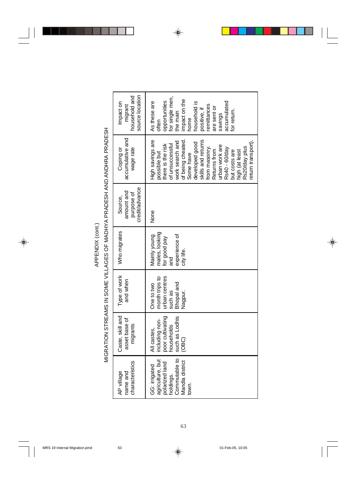| ٦<br>L |  |
|--------|--|

MIGRATION STREAMS IN SOME VILLAGES OF MADHYA PRADESH AND ANDHRA PRADESH MIGRATION STREAMS IN SOME VILLAGES OF MADHYA PRADESH AND ANDHRA PRADESH

| household and<br>source location<br>Impact on<br>migrant | for single men,<br>impact on the<br>opportunities<br>As these are<br>household is<br>accumulated<br>remittances<br>are sent or<br>positive, if<br>for return.<br>the main<br>savings<br>nome<br>often                                                                                                             |
|----------------------------------------------------------|-------------------------------------------------------------------------------------------------------------------------------------------------------------------------------------------------------------------------------------------------------------------------------------------------------------------|
| accumulative and<br>Coping or<br>wage rate               | skills and returns<br>High savings are<br>of being cheated<br>work search and<br>developed good<br>return transport)<br>of unsuccessful<br>there is the risk<br>urban work are<br>from masonry.<br>Rs20/day plus<br>Rs40 - 60/day<br>but costs are<br>Returns from<br>high (at least<br>possible but<br>Some have |
| credit/advance<br>amount and<br>purpose of<br>Source,    | None                                                                                                                                                                                                                                                                                                              |
| Who migrates                                             | males, looking<br>experience of<br>Mainly young<br>for good pay<br>city life.<br>and                                                                                                                                                                                                                              |
| Type of work<br>and when                                 | urban centres<br>month trips to<br><b>Bhopal</b> and<br>One to two<br>such as<br>Nagpur.                                                                                                                                                                                                                          |
| Caste, skill and<br>asset base of<br>migrants            | poor cultivating<br>such as Lodhis<br>including non-<br>households<br>All castes,<br>(OBC)                                                                                                                                                                                                                        |
| characteristics<br>AP village<br>name and                | Commutable to<br>agriculture, but<br>Mandla district<br>polarized land<br>GG: irrigated<br>holdings.<br>town.                                                                                                                                                                                                     |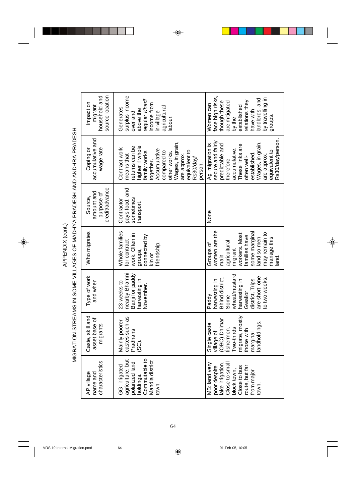source location surplus income household and household and source location surplus income face high risks, ace high risks, landlords, and by travelling in andlords, and of prillevent yc egular Kharif relations they regular Kharif though these are mitigated elations they Impact on though these are mitigated income from income from Nomen can Women can established migrant agricultural by the<br>established Generates Generates agricultural above the above the in-village nave with have with over and over and labour. groups. accumulative and Rs30/day/person. accumulative and Rs30/day/person. secure and fairly Wages, in grain, Wages, in grain, secure and fairly Wages, in grain, Wages, in grain, Ag. migration is None | Ag. migration is predictable and predictable and These links are These links are higher if whole higher if whole eturns can be returns can be Contract work Coping or wage rate wage rate Contract work accumulative. Accumulative Accumulative accumulative. equivalent to equivalent to equivalent to equivalent to amily works family works compared to compared to other works. other works. established. established. means that are approx. are approx. means that are approx. are approx. often well-Rs30/day/ often wellherefore ogether. therefore person. credit/advance pays food, and credit/advance pays food, and amount and amount and purpose of purpose of Source, Who migrates Source, sometimes sometimes Contractor **Contractor** transport. ransport. None women are the some marginal Who migrates Whole families women are the Whole families may remain to work. Often in workers. Most some marginal may remain to vork. Often in vorkers. Most connected by amilies have connected by families have and so men land so men manage this manage this for contract for contract agricultural agricultural friendship. riendship. Groups of migrant groups, kin or main land. nearby Bhamni Banji for paddy wheat/mustard nearby Bhamni Banji for paddy Type of work wheat/mustard Type of work are short: one Bhind district. are short: one to two weeks. Bhind district. to two weeks. and when narvesting in harvesting in Paddy<br>harvesting in harvesting in narvesting in harvesting in district. Trips district. Trips and when 23 weeks to 23 weeks to November. November. Gwalior Some Caste, skill and migrate, mostly Caste, skill and castes such as migrate, mostly castes such as asset base of (OBC) Dhimar asset base of Mainly poorer village of<br>(OBC) Dhimar Mainly poorer landholdings. marginal<br>landholdings. Single caste Single caste migrants fishermen. Two-thirds Two-thirds fishermen. those with Pradhans those with Pradhans (SC). Commutable to agriculture, but holdings.<br>Commutable to characteristics Mandla district agriculture, but Mandla district Close to small characteristics polarized land lake irrigation. polarized land MB: land very lake irrigation. Close to small GG: irrigated GG: irrigated MB: land very Close to bus route, but far poor despite Close to bus poor despite route, but far block town. block town, from major from major AP village AP village name and name and town. town.

# MIGRATION STREAMS IN SOME VILLAGES OF MADHYA PRADESH AND ANDHRA PRADESH MGRATION STREAMS IN SOME VILLAGES OF MADHYA PRADESH AND ANDHRA PRADESH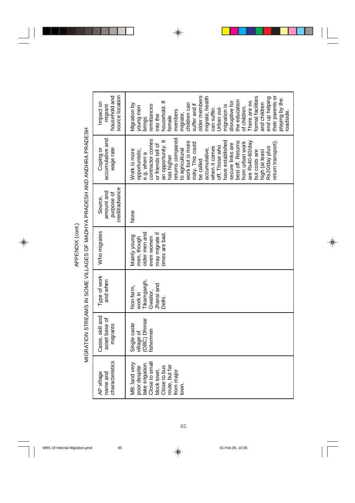MIGRATION STREAMS IN SOME VILLAGES OF MADHYA PRADESH AND ANDHRA PRADESH MIGRATION STREAMS IN SOME VILLAGES OF MADHYA PRADESH AND ANDHRA PRADESH

| source location<br>household and<br>Impact on<br>migrant | older members<br>their parents or<br>end up helping<br>formal facilities<br>migrate, health<br>playing by the<br>the education<br>of children.<br>There are no<br>household. If<br>disruptive for<br>and children<br>Migration by<br>children can<br>suffer and if<br>remittances<br>migration is<br>young men<br>Urban out-<br>can suffer.<br>members<br>roadside.<br>migrate,<br>into the<br>female<br>brings                                          |
|----------------------------------------------------------|----------------------------------------------------------------------------------------------------------------------------------------------------------------------------------------------------------------------------------------------------------------------------------------------------------------------------------------------------------------------------------------------------------------------------------------------------------|
| accumulative and<br>wage rate<br>Coping or               | returns compared<br>contractor comes<br>an opportunity. It<br>eturn transport).<br>work but is more<br>have established<br>best off. Returns<br>from urban work<br>are Rs40-60/day<br>risky. This could<br>secure links are<br>or friends tell of<br>off. Those who<br>Rs20/day plus<br>when it comes<br>accumulative,<br>to agricultural<br>Work is more<br>opportunistic,<br>but costs are<br>high (at least<br>e.g. when a<br>has higher<br>be called |
| credit/advance<br>amount and<br>purpose of<br>Source,    | None                                                                                                                                                                                                                                                                                                                                                                                                                                                     |
| Who migrates                                             | older men and<br>may migrate if<br>times are bad.<br>Mainly young<br>even women<br>men, though                                                                                                                                                                                                                                                                                                                                                           |
| Type of work<br>and when                                 | Tikamgargh,<br>Jhansi and<br>Non-farm,<br>Gwalior,<br>vork in<br>Delhi.                                                                                                                                                                                                                                                                                                                                                                                  |
| Caste, skill and<br>asset base of<br>migrants            | OBC) Dhimar<br>Single caste<br>ishermen<br>village of                                                                                                                                                                                                                                                                                                                                                                                                    |
| characteristics<br>AP village<br>name and                | Close to small<br>lake irrigation.<br>MB: land very<br>Close to bus<br>poor despite<br>route, but far<br>block town.<br>from major<br>town                                                                                                                                                                                                                                                                                                               |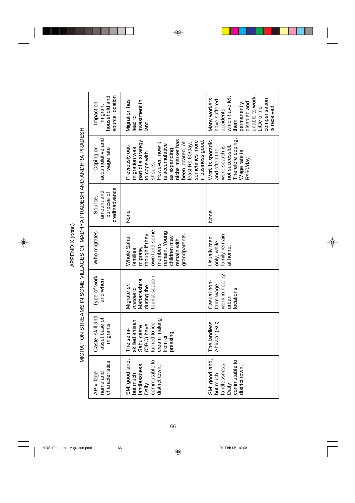| source location<br>household and<br>Impact on<br>migrant | Migration has<br>investment in<br>lead to<br>land.                                                                                                                                                                                       | which have left<br>unable to work.<br>Many workers<br>compensation<br>have suffered<br>disabled and<br>permanently<br>s received.<br>Little or no<br>accidents,<br>them |
|----------------------------------------------------------|------------------------------------------------------------------------------------------------------------------------------------------------------------------------------------------------------------------------------------------|-------------------------------------------------------------------------------------------------------------------------------------------------------------------------|
| accumulative and<br>wage rate<br>Coping or               | niche market has<br>part of a strategy<br>sometimes more<br>if business good<br>been located. At<br>However, now it<br>east Rs 60/day,<br>is accumulative<br>Previously out-<br>migration was<br>as expanding<br>to cope with<br>shocks. | Therefore coping<br>Work is sporadic<br>work-search is<br>not successful<br>and often the<br>Wage rate is<br>Rs60/day.                                                  |
| credit/advance<br>amount and<br>purpose of<br>Source,    | None                                                                                                                                                                                                                                     | None                                                                                                                                                                    |
| Who migrates                                             | own land some<br>remain. Young<br>though if they<br>grandparents.<br>children may<br>Whole Sahu<br>remain with<br>members<br>migrate,<br>families                                                                                        | family remain<br>Usually men<br>only, while<br>at home.                                                                                                                 |
| Type of work<br>and when                                 | tourist season.<br>Maharashtra<br>Migrate en<br>during the<br>masse to                                                                                                                                                                   | work in nearby<br>Casual non-<br>farm wage<br>locations.<br>urban                                                                                                       |
| Caste, skill and<br>asset base of<br>migrants            | cream making<br>skilled artisan<br>turned to ice-<br>(OBC) have<br>Sahu caste<br>The semi-<br>pressing.<br>from oil                                                                                                                      | The landless<br>Ahirwar (SC)                                                                                                                                            |
| characteristics<br>AP village<br>name and                | SM: good land,<br>commutable to<br>landlessness.<br>district town.<br>but much<br>Daily                                                                                                                                                  | SM: good land,<br>commutable to<br>landlessness.<br>district town<br>but much<br>Daily                                                                                  |

MIGRATION STREAMS IN SOME VILLAGES OF MADHYA PRADESH AND ANDHRA PRADESH MIGRATION STREAMS IN SOME VILLAGES OF MADHYA PRADESH AND ANDHRA PRADESH APPENDIX (cont.) APPENDIX (cont.)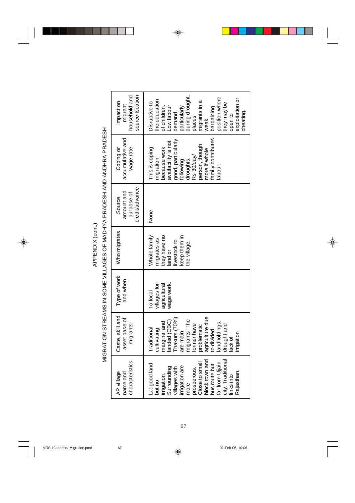| Ξ |  |
|---|--|

MIGRATION STREAMS IN SOME VILLAGES OF MADHYA PRADESH AND ANDHRA PRADESH MIGRATION STREAMS IN SOME VILLAGES OF MADHYA PRADESH AND ANDHRA PRADESH

| household and<br>source location<br>Impact on<br>migrant | during drought,<br>position where<br>exploitation or<br>the education<br>migrants in a<br>Disruptive to<br>hey may be<br>noodsl wo <sub>-</sub><br>particularly<br>of children.<br>bargaining<br>demand,<br>cheating.<br>pen to<br>daces<br>veak |
|----------------------------------------------------------|--------------------------------------------------------------------------------------------------------------------------------------------------------------------------------------------------------------------------------------------------|
| accumulative and<br>Coping or<br>wage rate               | amily contributes<br>good, particularly<br>availability is not<br>person, though<br>because work<br>This is coping<br>more if whole<br>droughts.<br>Rs 30/day/<br>nigration<br>following<br>abour                                                |
| credit/advance<br>amount and<br>purpose of<br>Source,    | None                                                                                                                                                                                                                                             |
| Who migrates                                             | Whole family<br>they have no<br>keep them in<br>migrates as<br>ivestock to<br>the village.<br>land or                                                                                                                                            |
| Type of work<br>and when                                 | agricultural<br>wage work.<br>villages for<br>To local                                                                                                                                                                                           |
| Caste, skill and<br>asset base of<br>migrants            | agriculture due<br>Thakurs (70%)<br>migrants. The<br>anded (OBC)<br>marginal and<br>landholdings,<br>ormer have<br>drought and<br>problematic<br>cultivating<br><b>Fraditional</b><br>are main<br>to divided<br>rrigation.<br>lack of            |
| characteristics<br>AP village<br>name and                | city. Traditional<br>block town and<br>far from Ujjain<br>Close to small<br>LJ: good land<br>bus route but<br>irrigation are<br>Surrounding<br>villages with<br>prosperous.<br>Rajasthan.<br>links into<br>irrigation.<br>but no<br>more         |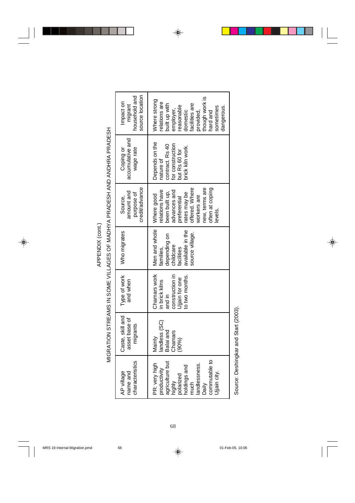| ï |  |
|---|--|

MIGRATION STREAMS IN SOME VILLAGES OF MADHYA PRADESH AND ANDHRA PRADESH MIGRATION STREAMS IN SOME VILLAGES OF MADHYA PRADESH AND ANDHRA PRADESH

| source location<br>household and<br>mpact on<br>migrant | though work is<br><b>Nhere</b> strong<br>elations are<br>facilities are<br>built up with<br>easonable<br>sometimes<br>dangerous.<br>employer,<br>domestic<br>provided,<br>hard and |
|---------------------------------------------------------|------------------------------------------------------------------------------------------------------------------------------------------------------------------------------------|
| accumulative and<br>Coping or<br>wage rate              | Depends on the<br>contract. Rs 40<br>or construction<br>rick kiln work.<br>but Rs 60 for<br>nature of                                                                              |
| credit/advance<br>amount and<br>purpose of<br>Source,   | new, terms are<br>offered. Where<br>often at coping<br>elations have<br>advances and<br>been built up,<br>rates may be<br>Where good<br>workers are<br>preferential<br>levels.     |
| Who migrates                                            | Men and whole<br>available in the<br>source village.<br>depending on<br>childcare<br>families,<br>facilities                                                                       |
| Type of work<br>and when                                | Chamars work<br>construction in<br>to two months.<br>Jijain for one<br>in brick kilns<br>and in                                                                                    |
| Caste, skill and<br>asset base of<br>migrants           | andless (SC)<br>Balai and<br>Chamars<br>Mainly<br>(90%)                                                                                                                            |
| characteristics<br>AP village<br>name and               | commutable to<br>agriculture but<br>PR: very high<br>landlessness.<br>holdings and<br>productivity<br>Jijain city.<br>polarized<br>highly<br>much<br>Daily                         |

Source: Deshingkar and Start (2003). Source: Deshingkar and Start (2003).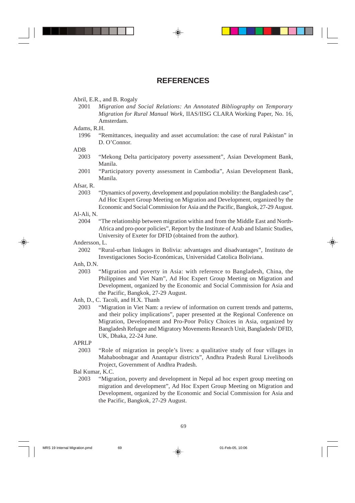# **REFERENCES**

### Abril, E.R., and B. Rogaly

2001 *Migration and Social Relations: An Annotated Bibliography on Temporary Migration for Rural Manual Work*, IIAS/IISG CLARA Working Paper, No. 16, Amsterdam.

Adams, R.H.

1996 "Remittances, inequality and asset accumulation: the case of rural Pakistan" in D. O'Connor.

ADB

- 2003 "Mekong Delta participatory poverty assessment", Asian Development Bank, Manila.
- 2001 "Participatory poverty assessment in Cambodia", Asian Development Bank, Manila.

Afsar, R.

2003 "Dynamics of poverty, development and population mobility: the Bangladesh case", Ad Hoc Expert Group Meeting on Migration and Development, organized by the Economic and Social Commission for Asia and the Pacific, Bangkok, 27-29 August.

Al-Ali, N.

2004 "The relationship between migration within and from the Middle East and North-Africa and pro-poor policies", Report by the Institute of Arab and Islamic Studies, University of Exeter for DFID (obtained from the author).

Andersson, L.

2002 "Rural-urban linkages in Bolivia: advantages and disadvantages", Instituto de Investigaciones Socio-Económicas, Universidad Catolica Boliviana.

Anh, D.N.

- 2003 "Migration and poverty in Asia: with reference to Bangladesh, China, the Philippines and Viet Nam", Ad Hoc Expert Group Meeting on Migration and Development, organized by the Economic and Social Commission for Asia and the Pacific, Bangkok, 27-29 August.
- Anh, D., C. Tacoli, and H.X. Thanh
	- 2003 "Migration in Viet Nam: a review of information on current trends and patterns, and their policy implications", paper presented at the Regional Conference on Migration, Development and Pro-Poor Policy Choices in Asia, organized by Bangladesh Refugee and Migratory Movements Research Unit, Bangladesh/ DFID, UK, Dhaka, 22-24 June.
- APRLP
	- 2003 "Role of migration in people's lives: a qualitative study of four villages in Mahaboobnagar and Anantapur districts", Andhra Pradesh Rural Livelihoods Project, Government of Andhra Pradesh.
- Bal Kumar, K.C.
	- 2003 "Migration, poverty and development in Nepal ad hoc expert group meeting on migration and development", Ad Hoc Expert Group Meeting on Migration and Development, organized by the Economic and Social Commission for Asia and the Pacific, Bangkok, 27-29 August.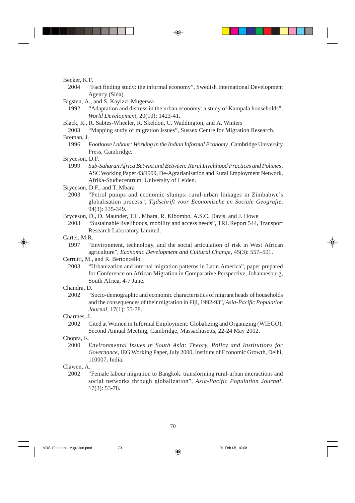Becker, K.F.

2004 "Fact finding study: the informal economy", Swedish International Development Agency (Sida).

Bigsten, A., and S. Kayizzi-Mugerwa

- 1992 "Adaptation and distress in the urban economy: a study of Kampala households", *World Development,* 20(10): 1423-41.
- Black, R., R. Sabtes-Wheeler, R. Skeldon, C. Waddington, and A. Winters

"Mapping study of migration issues", Sussex Centre for Migration Research. Breman, J.

- 1996 *Footloose Labour: Working in the Indian Informal Economy*, Cambridge University Press, Cambridge.
- Bryceson, D.F.<br> $1999$  Sub-
	- 1999 *Sub-Saharan Africa Betwixt and Between: Rural Livelihood Practices and Policies*, ASC Working Paper 43/1999, De-Agrarianisation and Rural Employment Network, Afrika-Studiecentrum, University of Leiden.

Bryceson, D.F., and T. Mbara

- 2003 "Petrol pumps and economic slumps: rural-urban linkages in Zimbabwe's globalisation process", *Tijdschrift voor Economische en Sociale Geografie,* 94(3): 335-349.
- Bryceson, D., D. Maunder, T.C. Mbara, R. Kibombo, A.S.C. Davis, and J. Howe
- 2003 "Sustainable livelihoods, mobility and access needs", TRL Report 544, Transport Research Laboratory Limited.

Carter, M.R.

1997 "Environment, technology, and the social articulation of risk in West African agriculture", *Economic Development and Cultural Change*, 45(3): 557–591.

Cerrutti, M., and R. Bertoncello

2003 "Urbanization and internal migration patterns in Latin America", paper prepared for Conference on African Migration in Comparative Perspective, Johannesburg, South Africa, 4-7 June.

## Chandra, D.

2002 "Socio-demographic and economic characteristics of migrant heads of households and the consequences of their migration in Fiji, 1992-93", *Asia-Pacific Population Journal*, 17(1): 55-78.

### Charmes, J.

2002 Cited at Women in Informal Employment: Globalizing and Organizing (WIEGO), Second Annual Meeting, Cambridge, Massachusetts, 22-24 May 2002.

### Chopra, K.

2000 *Environmental Issues in South Asia: Theory, Policy and Institutions for Governance*, IEG Working Paper, July 2000, Institute of Economic Growth, Delhi, 110007, India.

### Clawen, A.

2002 "Female labour migration to Bangkok: transforming rural-urban interactions and social networks through globalization", *Asia-Pacific Population Journal*, 17(3): 53-78.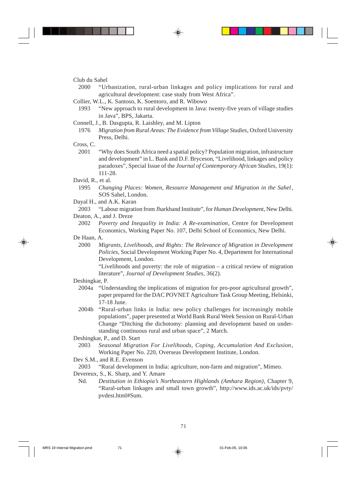Club du Sahel

- 2000 "Urbanization, rural-urban linkages and policy implications for rural and agricultural development: case study from West Africa".
- Collier, W.L., K. Santoso, K. Soentoro, and R. Wibowo
	- 1993 "New approach to rural development in Java: twenty-five years of village studies in Java", BPS, Jakarta.
- Connell, J., B. Dasgupta, R. Laishley, and M. Lipton
- 1976 *Migration from Rural Areas: The Evidence from Village Studies*, Oxford University Press, Delhi.

Cross, C.

2001 "Why does South Africa need a spatial policy? Population migration, infrastructure and development" in L. Bank and D.F. Bryceson, "Livelihood, linkages and policy paradoxes", Special Issue of the *Journal of Contemporary African Studies,* 19(1): 111-28.

David, R., et al.

- 1995 *Changing Places: Women, Resource Management and Migration in the Sahel*, SOS Sahel, London.
- Dayal H., and A.K. Karan
	- 2003 "Labour migration from Jharkhand Institute", for *Human Development*, New Delhi.
- Deaton, A., and J. Dreze
	- 2002 *Poverty and Inequality in India: A Re-examination*, Centre for Development Economics, Working Paper No. 107, Delhi School of Economics, New Delhi.
- De Haan, A.
	- 2000 *Migrants, Livelihoods, and Rights: The Relevance of Migration in Development Policies*, Social Development Working Paper No. 4, Department for International Development, London.

"Livelihoods and poverty: the role of migration – a critical review of migration literature", *Journal of Development Studies*, 36(2).

- Deshingkar, P.
	- 2004a "Understanding the implications of migration for pro-poor agricultural growth", paper prepared for the DAC POVNET Agriculture Task Group Meeting, Helsinki, 17-18 June.
	- 2004b "Rural-urban links in India: new policy challenges for increasingly mobile populations", paper presented at World Bank Rural Week Session on Rural-Urban Change "Ditching the dichotomy: planning and development based on understanding continuous rural and urban space", 2 March.

Deshingkar, P., and D. Start

2003 *Seasonal Migration For Livelihoods, Coping, Accumulation And Exclusion*, Working Paper No. 220, Overseas Development Institute, London.

Dev S.M., and R.E. Evenson

2003 "Rural development in India: agriculture, non-farm and migration", Mimeo.

- Devereux, S., K. Sharp, and Y. Amare
	- Nd. *Destitution in Ethiopia's Northeastern Highlands (Amhara Region)*, Chapter 9, "Rural-urban linkages and small town growth", http://www.ids.ac.uk/ids/pvty/ pvdest.html#Sum.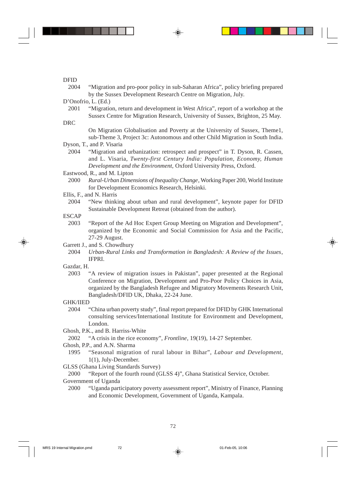DFID

2004 "Migration and pro-poor policy in sub-Saharan Africa", policy briefing prepared by the Sussex Development Research Centre on Migration, July.

D'Onofrio, L. (Ed.)

2001 "Migration, return and development in West Africa", report of a workshop at the Sussex Centre for Migration Research, University of Sussex, Brighton, 25 May.

DRC

On Migration Globalisation and Poverty at the University of Sussex, Theme1, sub-Theme 3, Project 3c: Autonomous and other Child Migration in South India.

Dyson, T., and P. Visaria<br>2004 **"Migration and** 

"Migration and urbanization: retrospect and prospect" in T. Dyson, R. Cassen, and L. Visaria, *Twenty-first Century India: Population, Economy, Human Development and the Environment,* Oxford University Press, Oxford.

Eastwood, R., and M. Lipton

2000 *Rural-Urban Dimensions of Inequality Change*, Working Paper 200, World Institute for Development Economics Research, Helsinki.

Ellis, F., and N. Harris

2004 "New thinking about urban and rural development", keynote paper for DFID Sustainable Development Retreat (obtained from the author).

# ESCAP

2003 "Report of the Ad Hoc Expert Group Meeting on Migration and Development", organized by the Economic and Social Commission for Asia and the Pacific, 27-29 August.

Garrett J., and S. Chowdhury

2004 *Urban-Rural Links and Transformation in Bangladesh: A Review of the Issues*, IFPRI.

Gazdar, H.

2003 "A review of migration issues in Pakistan", paper presented at the Regional Conference on Migration, Development and Pro-Poor Policy Choices in Asia, organized by the Bangladesh Refugee and Migratory Movements Research Unit, Bangladesh/DFID UK, Dhaka, 22-24 June.

## GHK/IIED

2004 "China urban poverty study", final report prepared for DFID by GHK International consulting services/International Institute for Environment and Development, London.

Ghosh, P.K., and B. Harriss-White

2002 "A crisis in the rice economy", *Frontline*, 19(19), 14-27 September.

- Ghosh, P.P., and A.N. Sharma
	- 1995 "Seasonal migration of rural labour in Bihar", *Labour and Development*, 1(1), July-December.

GLSS (Ghana Living Standards Survey)

2000 "Report of the fourth round (GLSS 4)", Ghana Statistical Service, October.

Government of Uganda

2000 "Uganda participatory poverty assessment report", Ministry of Finance, Planning and Economic Development, Government of Uganda, Kampala.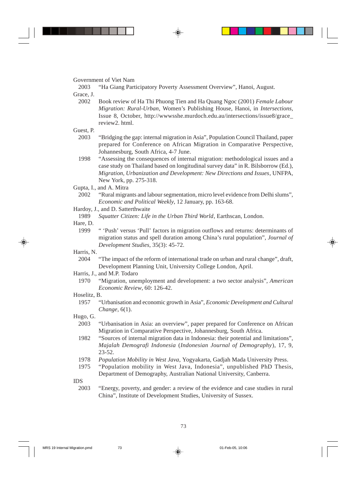Government of Viet Nam

2003 "Ha Giang Participatory Poverty Assessment Overview", Hanoi, August.

Grace, J.

2002 Book review of Ha Thi Phuong Tien and Ha Quang Ngoc (2001) *Female Labour Migration: Rural-Urban*, Women's Publishing House, Hanoi, in *Intersections,* Issue 8, October, http://wwwsshe.murdoch.edu.au/intersections/issue8/grace\_ review2. html.

Guest, P.

- 2003 "Bridging the gap: internal migration in Asia", Population Council Thailand, paper prepared for Conference on African Migration in Comparative Perspective, Johannesburg, South Africa, 4-7 June.
- 1998 "Assessing the consequences of internal migration: methodological issues and a case study on Thailand based on longitudinal survey data" in R. Bilsborrow (Ed.), *Migration, Urbanization and Development: New Directions and Issues*, UNFPA, New York, pp. 275-318.

Gupta, I., and A. Mitra

- 2002 "Rural migrants and labour segmentation, micro level evidence from Delhi slums", *Economic and Political Weekly*, 12 January, pp. 163-68.
- Hardoy, J., and D. Satterthwaite
	- 1989 *Squatter Citizen: Life in the Urban Third World*, Earthscan, London.

Hare, D.

1999 " 'Push' versus 'Pull' factors in migration outflows and returns: determinants of migration status and spell duration among China's rural population", *Journal of Development Studies*, 35(3): 45-72.

### Harris, N.

2004 "The impact of the reform of international trade on urban and rural change", draft, Development Planning Unit, University College London, April.

Harris, J., and M.P. Todaro

1970 "Migration, unemployment and development: a two sector analysis", *American Economic Review*, 60: 126-42.

## Hoselitz, B.

1957 "Urbanisation and economic growth in Asia", *Economic Development and Cultural Change*, 6(1).

Hugo, G.

- 2003 "Urbanisation in Asia: an overview", paper prepared for Conference on African Migration in Comparative Perspective, Johannesburg, South Africa.
- 1982 "Sources of internal migration data in Indonesia: their potential and limitations", *Majalah Demografi Indonesia* (*Indonesian Journal of Demography*), 17, 9, 23-52.
- 1978 *Population Mobility in West Java*, Yogyakarta, Gadjah Mada University Press.
- 1975 "Population mobility in West Java, Indonesia", unpublished PhD Thesis, Department of Demography, Australian National University, Canberra.

IDS

2003 "Energy, poverty, and gender: a review of the evidence and case studies in rural China", Institute of Development Studies, University of Sussex.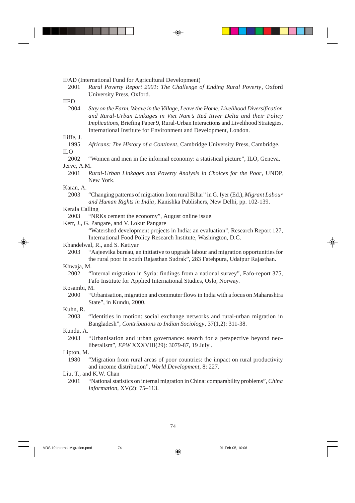IFAD (International Fund for Agricultural Development)

2001 *Rural Poverty Report 2001: The Challenge of Ending Rural Poverty*, Oxford University Press, Oxford.

#### IIED

2004 *Stay on the Farm, Weave in the Village, Leave the Home: Livelihood Diversification and Rural-Urban Linkages in Viet Nam's Red River Delta and their Policy Implications*, Briefing Paper 9, Rural-Urban Interactions and Livelihood Strategies, International Institute for Environment and Development, London.

# Iliffe, J.

Africans: The History of a Continent, Cambridge University Press, Cambridge. ILO

2002 "Women and men in the informal economy: a statistical picture", ILO, Geneva. Jerve, A.M.

2001 *Rural-Urban Linkages and Poverty Analysis in Choices for the Poor*, UNDP, New York.

# Karan, A.

2003 "Changing patterns of migration from rural Bihar" in G. Iyer (Ed.), *Migrant Labour and Human Rights in India*, Kanishka Publishers, New Delhi, pp. 102-139.

### Kerala Calling

- 2003 "NRKs cement the economy", August online issue.
- Kerr, J., G. Pangare, and V. Lokur Pangare

"Watershed development projects in India: an evaluation", Research Report 127, International Food Policy Research Institute, Washington, D.C.

#### Khandelwal, R., and S. Katiyar

2003 "Aajeevika bureau, an initiative to upgrade labour and migration opportunities for the rural poor in south Rajasthan Sudrak", 283 Fatehpura, Udaipur Rajasthan.

### Khwaja, M.

2002 "Internal migration in Syria: findings from a national survey", Fafo-report 375, Fafo Institute for Applied International Studies, Oslo, Norway.

#### Kosambi, M.

2000 "Urbanisation, migration and commuter flows in India with a focus on Maharashtra State", in Kundu, 2000.

#### Kuhn, R.

2003 "Identities in motion: social exchange networks and rural-urban migration in Bangladesh", *Contributions to Indian Sociology*, 37(1,2): 311-38.

#### Kundu, A.

2003 "Urbanisation and urban governance: search for a perspective beyond neoliberalism", *EPW* XXXVIII(29): 3079-87, 19 July .

### Lipton, M.

1980 "Migration from rural areas of poor countries: the impact on rural productivity and income distribution", *World Development*, 8: 227.

### Liu, T., and K.W. Chan

2001 "National statistics on internal migration in China: comparability problems", *China Information*, XV(2): 75–113.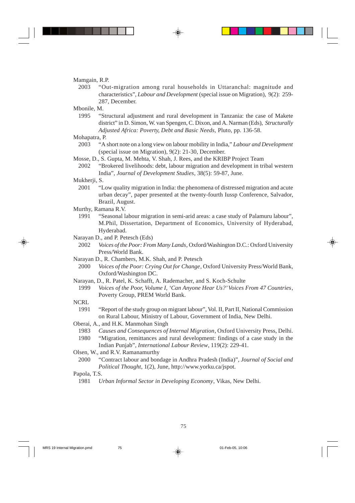#### Mamgain, R.P.

- 2003 "Out-migration among rural households in Uttaranchal: magnitude and characteristics", *Labour and Development* (special issue on Migration), 9(2): 259- 287, December.
- Mbonile, M.
	- 1995 "Structural adjustment and rural development in Tanzania: the case of Makete district" in D. Simon, W. van Spengen, C. Dixon, and A. Narman (Eds), *Structurally Adjusted Africa: Poverty, Debt and Basic Needs,* Pluto, pp. 136-58.

Mohapatra, P.

- 2003 "A short note on a long view on labour mobility in India," *Labour and Development* (special issue on Migration), 9(2): 21-30, December.
- Mosse, D., S. Gupta, M. Mehta, V. Shah, J. Rees, and the KRIBP Project Team
	- 2002 "Brokered livelihoods: debt, labour migration and development in tribal western India", *Journal of Development Studies*, 38(5): 59-87, June.

#### Mukherii, S.

- 2001 "Low quality migration in India: the phenomena of distressed migration and acute urban decay", paper presented at the twenty-fourth Iussp Conference, Salvador, Brazil, August.
- Murthy, Ramana R.V.
	- 1991 "Seasonal labour migration in semi-arid areas: a case study of Palamuru labour", M.Phil, Dissertation, Department of Economics, University of Hyderabad, Hyderabad.
- Narayan D., and P. Petesch (Eds)
	- 2002 *Voices of the Poor: From Many Lands*, Oxford/Washington D.C.: Oxford University Press/World Bank.
- Narayan D., R. Chambers, M.K. Shah, and P. Petesch
	- 2000 *Voices of the Poor: Crying Out for Change*, Oxford University Press/World Bank, Oxford/Washington DC.
- Narayan, D., R. Patel, K. Schafft, A. Rademacher, and S. Koch-Schulte
- 1999 *Voices of the Poor, Volume I, 'Can Anyone Hear Us?' Voices From 47 Countries*, Poverty Group, PREM World Bank.
- NCRL
	- 1991 "Report of the study group on migrant labour", Vol. II, Part II, National Commission on Rural Labour, Ministry of Labour, Government of India, New Delhi.
- Oberai, A., and H.K. Manmohan Singh
	- 1983 *Causes and Consequences of Internal Migration*, Oxford University Press, Delhi.
	- 1980 "Migration, remittances and rural development: findings of a case study in the Indian Punjab", *International Labour Review*, 119(2): 229-41.
- Olsen, W., and R.V. Ramanamurthy
	- 2000 "Contract labour and bondage in Andhra Pradesh (India)", *Journal of Social and Political Thought*, 1(2), June, http://www.yorku.ca/jspot.

# Papola, T.S.

1981 *Urban Informal Sector in Developing Economy*, Vikas, New Delhi.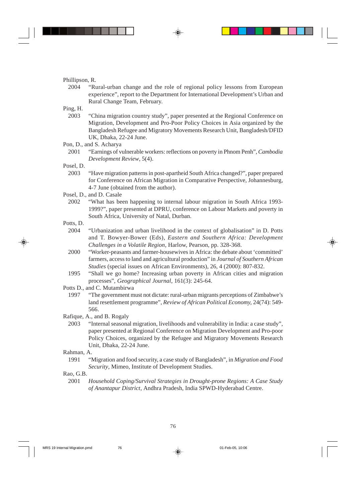### Phillipson, R.

2004 "Rural-urban change and the role of regional policy lessons from European experience", report to the Department for International Development's Urban and Rural Change Team, February.

# Ping, H.

2003 "China migration country study", paper presented at the Regional Conference on Migration, Development and Pro-Poor Policy Choices in Asia organized by the Bangladesh Refugee and Migratory Movements Research Unit, Bangladesh/DFID UK, Dhaka, 22-24 June.

Pon, D., and S. Acharya

2001 "Earnings of vulnerable workers: reflections on poverty in Phnom Penh", *Cambodia Development Review*, 5(4).

### Posel, D.

2003 "Have migration patterns in post-apartheid South Africa changed?", paper prepared for Conference on African Migration in Comparative Perspective, Johannesburg, 4-7 June (obtained from the author).

Posel, D., and D. Casale

- 2002 "What has been happening to internal labour migration in South Africa 1993- 1999?", paper presented at DPRU, conference on Labour Markets and poverty in South Africa, University of Natal, Durban.
- Potts, D.
	- 2004 "Urbanization and urban livelihood in the context of globalisation" in D. Potts and T. Bowyer-Bower (Eds), *Eastern and Southern Africa: Development Challenges in a Volatile Region*, Harlow, Pearson, pp. 328-368.
	- 2000 "Worker-peasants and farmer-housewives in Africa: the debate about 'committed' farmers, access to land and agricultural production" in *Journal of Southern African Studies* (special issues on African Environments), 26, 4 (2000): 807-832.
	- 1995 "Shall we go home? Increasing urban poverty in African cities and migration processes", *Geographical Journal*, 161(3): 245-64.

## Potts D., and C. Mutambirwa

1997 "The government must not dictate: rural-urban migrants perceptions of Zimbabwe's land resettlement programme", *Review of African Political Economy,* 24(74): 549- 566.

Rafique, A., and B. Rogaly

2003 "Internal seasonal migration, livelihoods and vulnerability in India: a case study", paper presented at Regional Conference on Migration Development and Pro-poor Policy Choices, organized by the Refugee and Migratory Movements Research Unit, Dhaka, 22-24 June.

## Rahman, A.

1991 "Migration and food security, a case study of Bangladesh", in *Migration and Food Security*, Mimeo, Institute of Development Studies.

# Rao, G.B.

2001 *Household Coping/Survival Strategies in Drought-prone Regions: A Case Study of Anantapur District*, Andhra Pradesh, India SPWD-Hyderabad Centre.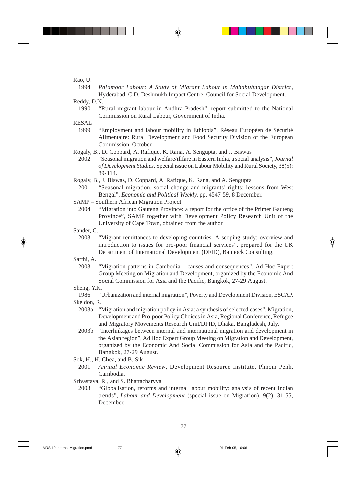Rao, U.

1994 *Palamoor Labour: A Study of Migrant Labour in Mahabubnagar District*, Hyderabad, C.D. Deshmukh Impact Centre, Council for Social Development.

Reddy, D.N.<br> $1990$  "F

1990 "Rural migrant labour in Andhra Pradesh", report submitted to the National Commission on Rural Labour, Government of India.

RESAL<br>1999

- "Employment and labour mobility in Ethiopia", Réseau Européen de Sécurité Alimentaire: Rural Development and Food Security Division of the European Commission, October.
- Rogaly, B., D. Coppard, A. Rafique, K. Rana, A. Sengupta, and J. Biswas
	- 2002 "Seasonal migration and welfare/illfare in Eastern India, a social analysis", *Journal of Development Studies*, Special issue on Labour Mobility and Rural Society, 38(5): 89-114.
- Rogaly, B., J. Biswas, D. Coppard, A. Rafique, K. Rana, and A. Sengupta
- 2001 "Seasonal migration, social change and migrants' rights: lessons from West Bengal", *Economic and Political Weekly,* pp. 4547-59, 8 December.
- SAMP Southern African Migration Project
	- 2004 "Migration into Gauteng Province: a report for the office of the Primer Gauteng Province", SAMP together with Development Policy Research Unit of the University of Cape Town, obtained from the author.
- Sander, C.
	- 2003 "Migrant remittances to developing countries. A scoping study: overview and introduction to issues for pro-poor financial services", prepared for the UK Department of International Development (DFID), Bannock Consulting.

Sarthi, A.

2003 "Migration patterns in Cambodia – causes and consequences", Ad Hoc Expert Group Meeting on Migration and Development, organized by the Economic And Social Commission for Asia and the Pacific, Bangkok, 27-29 August.

Sheng, Y.K.

1986 "Urbanization and internal migration", Poverty and Development Division, ESCAP. Skeldon, R.

- 2003a "Migration and migration policy in Asia: a synthesis of selected cases", Migration, Development and Pro-poor Policy Choices in Asia, Regional Conference, Refugee and Migratory Movements Research Unit/DFID, Dhaka, Bangladesh, July.
- 2003b "Interlinkages between internal and international migration and development in the Asian region", Ad Hoc Expert Group Meeting on Migration and Development, organized by the Economic And Social Commission for Asia and the Pacific, Bangkok, 27-29 August.

Sok, H., H. Chea, and B. Sik

- 2001 *Annual Economic Review*, Development Resource Institute, Phnom Penh, Cambodia.
- Srivastava, R., and S. Bhattacharyya
	- 2003 "Globalisation, reforms and internal labour mobility: analysis of recent Indian trends", *Labour and Development* (special issue on Migration), 9(2): 31-55, December.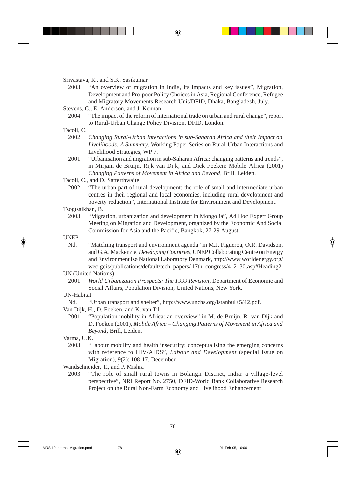Srivastava, R., and S.K. Sasikumar

- 2003 "An overview of migration in India, its impacts and key issues", Migration, Development and Pro-poor Policy Choices in Asia, Regional Conference, Refugee and Migratory Movements Research Unit/DFID, Dhaka, Bangladesh, July.
- Stevens, C., E. Anderson, and J. Kennan
	- 2004 "The impact of the reform of international trade on urban and rural change", report to Rural-Urban Change Policy Division, DFID, London.

# Tacoli, C.

- 2002 *Changing Rural-Urban Interactions in sub-Saharan Africa and their Impact on Livelihoods: A Summary*, Working Paper Series on Rural-Urban Interactions and Livelihood Strategies, WP 7.
- 2001 "Urbanisation and migration in sub-Saharan Africa: changing patterns and trends", in Mirjam de Bruijn, Rijk van Dijk, and Dick Foeken: Mobile Africa (2001) *Changing Patterns of Movement in Africa and Beyond*, Brill, Leiden.

Tacoli, C., and D. Satterthwaite

2002 "The urban part of rural development: the role of small and intermediate urban centres in their regional and local economies, including rural development and poverty reduction", International Institute for Environment and Development.

Tsogtsaikhan, B.

2003 "Migration, urbanization and development in Mongolia", Ad Hoc Expert Group Meeting on Migration and Development, organized by the Economic And Social Commission for Asia and the Pacific, Bangkok, 27-29 August.

UNEP

Nd. "Matching transport and environment agenda" in M.J. Figueroa, O.R. Davidson, and G.A. Mackenzie, *Developing Countries*, UNEP Collaborating Centre on Energy and Environment isø National Laboratory Denmark, http://www.worldenergy.org/ wec-geis/publications/default/tech\_papers/ 17th\_congress/4\_2\_30.asp#Heading2.

UN (United Nations)

2001 *World Urbanization Prospects: The 1999 Revision*, Department of Economic and Social Affairs, Population Division, United Nations, New York.

#### UN-Habitat

- Nd. "Urban transport and shelter", http://www.unchs.org/istanbul+5/42.pdf.
- Van Dijk, H., D. Foeken, and K. van Til
	- 2001 "Population mobility in Africa: an overview" in M. de Bruijn, R. van Dijk and D. Foeken (2001), *Mobile Africa – Changing Patterns of Movement in Africa and Beyond*, Brill, Leiden.

#### Varma, U.K.

- 2003 "Labour mobility and health insecurity: conceptualising the emerging concerns with reference to HIV/AIDS", *Labour and Development* (special issue on Migration), 9(2): 108-17, December.
- Wandschneider, T., and P. Mishra
	- 2003 "The role of small rural towns in Bolangir District, India: a village-level perspective", NRI Report No. 2750, DFID-World Bank Collaborative Research Project on the Rural Non-Farm Economy and Livelihood Enhancement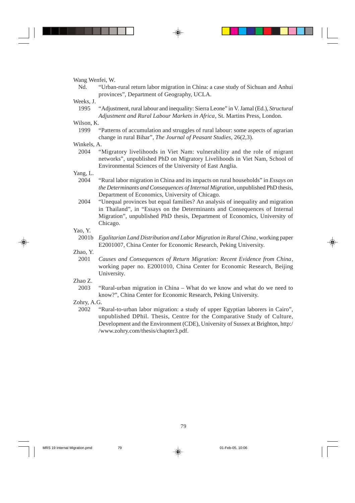Wang Wenfei, W.

Nd. "Urban-rural return labor migration in China: a case study of Sichuan and Anhui provinces", Department of Geography, UCLA.

#### Weeks, J.

1995 "Adjustment, rural labour and inequality: Sierra Leone" in V. Jamal (Ed.), *Structural Adjustment and Rural Labour Markets in Africa*, St. Martins Press, London.

# Wilson, K.<br>1999

1999 "Patterns of accumulation and struggles of rural labour: some aspects of agrarian change in rural Bihar", *The Journal of Peasant Studies*, 26(2,3).

## Winkels, A.

2004 "Migratory livelihoods in Viet Nam: vulnerability and the role of migrant networks", unpublished PhD on Migratory Livelihoods in Viet Nam, School of Environmental Sciences of the University of East Anglia.

# Yang, L.

- 2004 "Rural labor migration in China and its impacts on rural households" in *Essays on the Determinants and Consequences of Internal Migration*, unpublished PhD thesis, Department of Economics, University of Chicago.
- 2004 "Unequal provinces but equal families? An analysis of inequality and migration in Thailand", in "Essays on the Determinants and Consequences of Internal Migration", unpublished PhD thesis, Department of Economics, University of Chicago.

#### Yao, Y.

2001b *Egalitarian Land Distribution and Labor Migration in Rural China*, working paper E2001007, China Center for Economic Research, Peking University.

Zhao, Y.

- 2001 *Causes and Consequences of Return Migration: Recent Evidence from China*, working paper no. E2001010, China Center for Economic Research, Beijing University.
- Zhao Z.
	- 2003 "Rural-urban migration in China What do we know and what do we need to know?", China Center for Economic Research, Peking University.
- Zohry, A.G.
	- 2002 "Rural-to-urban labor migration: a study of upper Egyptian laborers in Cairo", unpublished DPhil. Thesis, Centre for the Comparative Study of Culture, Development and the Environment (CDE), University of Sussex at Brighton, http:/ /www.zohry.com/thesis/chapter3.pdf.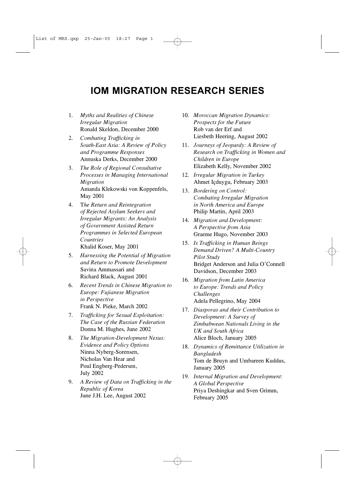# **IOM MIGRATION RESEARCH SERIES**

- 1. *Myths and Realities of Chinese Irregular Migration* Ronald Skeldon, December 2000
- 2. *Combating Trafficking in South-East Asia: A Review of Policy and Programme Responses* Annuska Derks, December 2000
- 3. *The Role of Regional Consultative Processes in Managing International Migration* Amanda Klekowski von Koppenfels, May 2001
- 4. T*he Return and Reintegration of Rejected Asylum Seekers and Irregular Migrants: An Analysis of Government Assisted Return Programmes in Selected European Countries* Khalid Koser, May 2001
- 5. *Harnessing the Potential of Migration and Return to Promote Development* Savina Ammassari and Richard Black, August 2001
- 6. *Recent Trends in Chinese Migration to Europe: Fujianese Migration in Perspective* Frank N. Pieke, March 2002
- 7. *Trafficking for Sexual Exploitation: The Case of the Russian Federation* Donna M. Hughes, June 2002
- 8. *The Migration-Development Nexus: Evidence and Policy Options* Ninna Nyberg-Sorensen, Nicholas Van Hear and Poul Engberg-Pedersen, July 2002
- 9. *A Review of Data on Trafficking in the Republic of Korea* June J.H. Lee, August 2002
- 10. *Moroccan Migration Dynamics: Prospects for the Future* Rob van der Erf and Liesbeth Heering, August 2002
- 11. *Journeys of Jeopardy: A Review of Research on Trafficking in Women and Children in Europe* Elizabeth Kelly, November 2002
- 12. *Irregular Migration in Turkey* Ahmet Içduygu, February 2003
- 13. *Bordering on Control: Combating Irregular Migration in North America and Europe* Philip Martin, April 2003
- 14. *Migration and Development: A Perspective from Asia* Graeme Hugo, November 2003
- 15. *Is Trafficking in Human Beings Demand Driven? A Multi-Country Pilot Study* Bridget Anderson and Julia O'Connell Davidson, December 2003
- 16. *Migration from Latin America to Europe: Trends and Policy Challenges* Adela Pellegrino, May 2004
- 17. *Diasporas and their Contribution to Development: A Survey of Zimbabwean Nationals Living in the UK and South Africa* Alice Bloch, January 2005
- 18. *Dynamics of Remittance Utilization in Bangladesh* Tom de Bruyn and Umbareen Kuddus, January 2005
- 19. *Internal Migration and Development: A Global Perspective* Priya Deshingkar and Sven Grimm, February 2005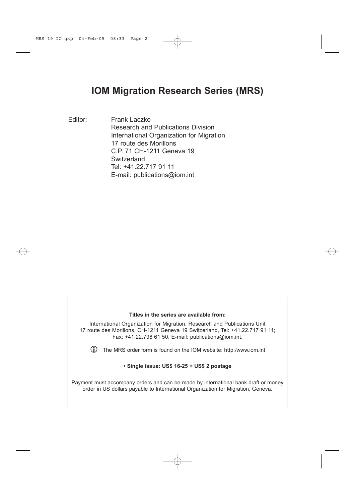# **IOM Migration Research Series (MRS)**

Editor: Frank Laczko Research and Publications Division International Organization for Migration 17 route des Morillons C.P. 71 CH-1211 Geneva 19 **Switzerland** Tel: +41.22.717 91 11 E-mail: publications@iom.int